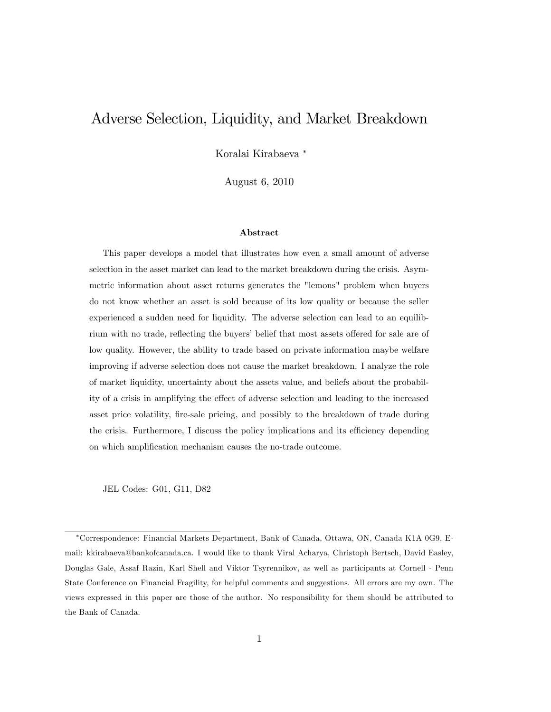# Adverse Selection, Liquidity, and Market Breakdown

Koralai Kirabaeva

August 6, 2010

#### Abstract

This paper develops a model that illustrates how even a small amount of adverse selection in the asset market can lead to the market breakdown during the crisis. Asymmetric information about asset returns generates the "lemons" problem when buyers do not know whether an asset is sold because of its low quality or because the seller experienced a sudden need for liquidity. The adverse selection can lead to an equilibrium with no trade, reflecting the buyers' belief that most assets offered for sale are of low quality. However, the ability to trade based on private information maybe welfare improving if adverse selection does not cause the market breakdown. I analyze the role of market liquidity, uncertainty about the assets value, and beliefs about the probability of a crisis in amplifying the effect of adverse selection and leading to the increased asset price volatility, fire-sale pricing, and possibly to the breakdown of trade during the crisis. Furthermore, I discuss the policy implications and its efficiency depending on which amplification mechanism causes the no-trade outcome.

JEL Codes: G01, G11, D82

Correspondence: Financial Markets Department, Bank of Canada, Ottawa, ON, Canada K1A 0G9, Email: kkirabaeva@bankofcanada.ca. I would like to thank Viral Acharya, Christoph Bertsch, David Easley, Douglas Gale, Assaf Razin, Karl Shell and Viktor Tsyrennikov, as well as participants at Cornell - Penn State Conference on Financial Fragility, for helpful comments and suggestions. All errors are my own. The views expressed in this paper are those of the author. No responsibility for them should be attributed to the Bank of Canada.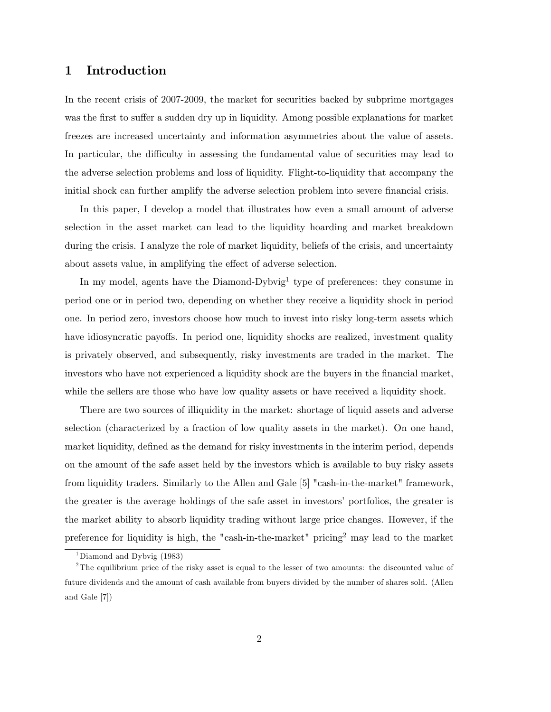# 1 Introduction

In the recent crisis of 2007-2009, the market for securities backed by subprime mortgages was the first to suffer a sudden dry up in liquidity. Among possible explanations for market freezes are increased uncertainty and information asymmetries about the value of assets. In particular, the difficulty in assessing the fundamental value of securities may lead to the adverse selection problems and loss of liquidity. Flight-to-liquidity that accompany the initial shock can further amplify the adverse selection problem into severe financial crisis.

In this paper, I develop a model that illustrates how even a small amount of adverse selection in the asset market can lead to the liquidity hoarding and market breakdown during the crisis. I analyze the role of market liquidity, beliefs of the crisis, and uncertainty about assets value, in amplifying the effect of adverse selection.

In my model, agents have the Diamond-Dybvig<sup>1</sup> type of preferences: they consume in period one or in period two, depending on whether they receive a liquidity shock in period one. In period zero, investors choose how much to invest into risky long-term assets which have idiosyncratic payoffs. In period one, liquidity shocks are realized, investment quality is privately observed, and subsequently, risky investments are traded in the market. The investors who have not experienced a liquidity shock are the buyers in the financial market, while the sellers are those who have low quality assets or have received a liquidity shock.

There are two sources of illiquidity in the market: shortage of liquid assets and adverse selection (characterized by a fraction of low quality assets in the market). On one hand, market liquidity, defined as the demand for risky investments in the interim period, depends on the amount of the safe asset held by the investors which is available to buy risky assets from liquidity traders. Similarly to the Allen and Gale [5] "cash-in-the-market" framework, the greater is the average holdings of the safe asset in investors' portfolios, the greater is the market ability to absorb liquidity trading without large price changes. However, if the preference for liquidity is high, the "cash-in-the-market" pricing<sup>2</sup> may lead to the market

<sup>&</sup>lt;sup>1</sup>Diamond and Dybvig (1983)

<sup>&</sup>lt;sup>2</sup>The equilibrium price of the risky asset is equal to the lesser of two amounts: the discounted value of future dividends and the amount of cash available from buyers divided by the number of shares sold. (Allen and Gale [7])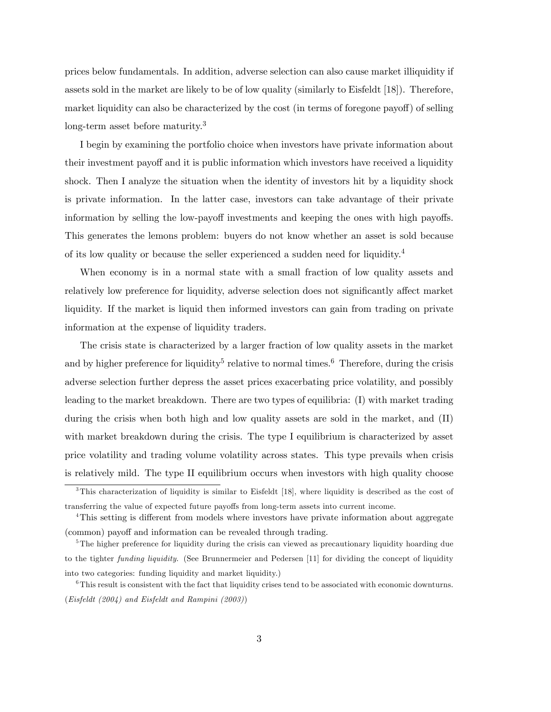prices below fundamentals. In addition, adverse selection can also cause market illiquidity if assets sold in the market are likely to be of low quality (similarly to Eisfeldt [18]). Therefore, market liquidity can also be characterized by the cost (in terms of foregone payoff) of selling long-term asset before maturity.<sup>3</sup>

I begin by examining the portfolio choice when investors have private information about their investment payoff and it is public information which investors have received a liquidity shock. Then I analyze the situation when the identity of investors hit by a liquidity shock is private information. In the latter case, investors can take advantage of their private information by selling the low-payoff investments and keeping the ones with high payoffs. This generates the lemons problem: buyers do not know whether an asset is sold because of its low quality or because the seller experienced a sudden need for liquidity.<sup>4</sup>

When economy is in a normal state with a small fraction of low quality assets and relatively low preference for liquidity, adverse selection does not significantly affect market liquidity. If the market is liquid then informed investors can gain from trading on private information at the expense of liquidity traders.

The crisis state is characterized by a larger fraction of low quality assets in the market and by higher preference for liquidity<sup>5</sup> relative to normal times.<sup>6</sup> Therefore, during the crisis adverse selection further depress the asset prices exacerbating price volatility, and possibly leading to the market breakdown. There are two types of equilibria: (I) with market trading during the crisis when both high and low quality assets are sold in the market, and (II) with market breakdown during the crisis. The type I equilibrium is characterized by asset price volatility and trading volume volatility across states. This type prevails when crisis is relatively mild. The type II equilibrium occurs when investors with high quality choose

<sup>&</sup>lt;sup>3</sup>This characterization of liquidity is similar to Eisfeldt [18], where liquidity is described as the cost of transferring the value of expected future payo§s from long-term assets into current income.

<sup>&</sup>lt;sup>4</sup>This setting is different from models where investors have private information about aggregate (common) payoff and information can be revealed through trading.

<sup>&</sup>lt;sup>5</sup>The higher preference for liquidity during the crisis can viewed as precautionary liquidity hoarding due to the tighter funding liquidity. (See Brunnermeier and Pedersen [11] for dividing the concept of liquidity into two categories: funding liquidity and market liquidity.)

 $6$ This result is consistent with the fact that liquidity crises tend to be associated with economic downturns. (Eisfeldt (2004) and Eisfeldt and Rampini (2003))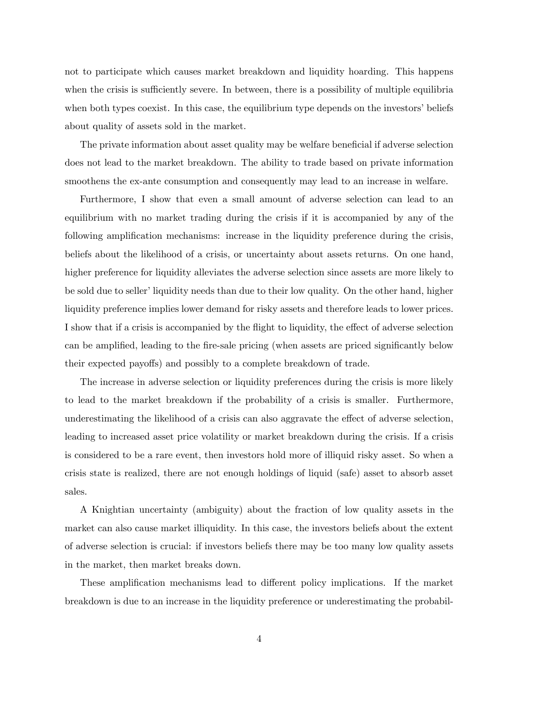not to participate which causes market breakdown and liquidity hoarding. This happens when the crisis is sufficiently severe. In between, there is a possibility of multiple equilibria when both types coexist. In this case, the equilibrium type depends on the investors' beliefs about quality of assets sold in the market.

The private information about asset quality may be welfare beneficial if adverse selection does not lead to the market breakdown. The ability to trade based on private information smoothens the ex-ante consumption and consequently may lead to an increase in welfare.

Furthermore, I show that even a small amount of adverse selection can lead to an equilibrium with no market trading during the crisis if it is accompanied by any of the following amplification mechanisms: increase in the liquidity preference during the crisis, beliefs about the likelihood of a crisis, or uncertainty about assets returns. On one hand, higher preference for liquidity alleviates the adverse selection since assets are more likely to be sold due to seller' liquidity needs than due to their low quality. On the other hand, higher liquidity preference implies lower demand for risky assets and therefore leads to lower prices. I show that if a crisis is accompanied by the flight to liquidity, the effect of adverse selection can be amplified, leading to the fire-sale pricing (when assets are priced significantly below their expected payoffs) and possibly to a complete breakdown of trade.

The increase in adverse selection or liquidity preferences during the crisis is more likely to lead to the market breakdown if the probability of a crisis is smaller. Furthermore, underestimating the likelihood of a crisis can also aggravate the effect of adverse selection, leading to increased asset price volatility or market breakdown during the crisis. If a crisis is considered to be a rare event, then investors hold more of illiquid risky asset. So when a crisis state is realized, there are not enough holdings of liquid (safe) asset to absorb asset sales.

A Knightian uncertainty (ambiguity) about the fraction of low quality assets in the market can also cause market illiquidity. In this case, the investors beliefs about the extent of adverse selection is crucial: if investors beliefs there may be too many low quality assets in the market, then market breaks down.

These amplification mechanisms lead to different policy implications. If the market breakdown is due to an increase in the liquidity preference or underestimating the probabil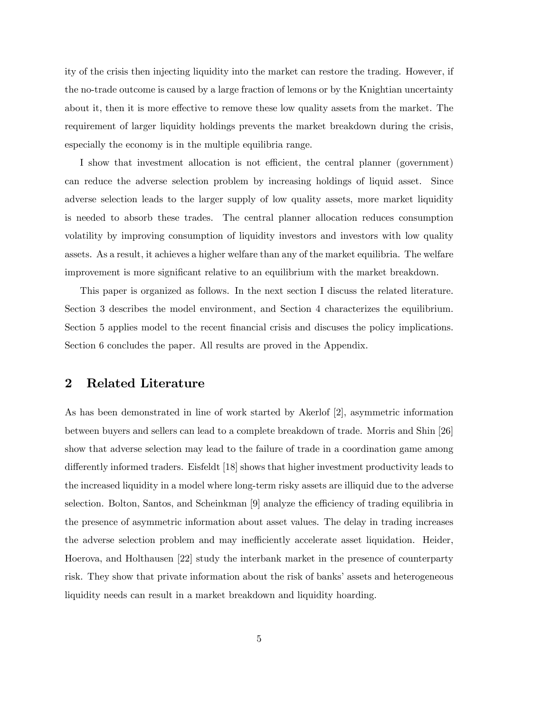ity of the crisis then injecting liquidity into the market can restore the trading. However, if the no-trade outcome is caused by a large fraction of lemons or by the Knightian uncertainty about it, then it is more effective to remove these low quality assets from the market. The requirement of larger liquidity holdings prevents the market breakdown during the crisis, especially the economy is in the multiple equilibria range.

I show that investment allocation is not efficient, the central planner (government) can reduce the adverse selection problem by increasing holdings of liquid asset. Since adverse selection leads to the larger supply of low quality assets, more market liquidity is needed to absorb these trades. The central planner allocation reduces consumption volatility by improving consumption of liquidity investors and investors with low quality assets. As a result, it achieves a higher welfare than any of the market equilibria. The welfare improvement is more significant relative to an equilibrium with the market breakdown.

This paper is organized as follows. In the next section I discuss the related literature. Section 3 describes the model environment, and Section 4 characterizes the equilibrium. Section 5 applies model to the recent financial crisis and discusses the policy implications. Section 6 concludes the paper. All results are proved in the Appendix.

# 2 Related Literature

As has been demonstrated in line of work started by Akerlof [2], asymmetric information between buyers and sellers can lead to a complete breakdown of trade. Morris and Shin [26] show that adverse selection may lead to the failure of trade in a coordination game among differently informed traders. Eisfeldt [18] shows that higher investment productivity leads to the increased liquidity in a model where long-term risky assets are illiquid due to the adverse selection. Bolton, Santos, and Scheinkman [9] analyze the efficiency of trading equilibria in the presence of asymmetric information about asset values. The delay in trading increases the adverse selection problem and may inefficiently accelerate asset liquidation. Heider, Hoerova, and Holthausen [22] study the interbank market in the presence of counterparty risk. They show that private information about the risk of banks' assets and heterogeneous liquidity needs can result in a market breakdown and liquidity hoarding.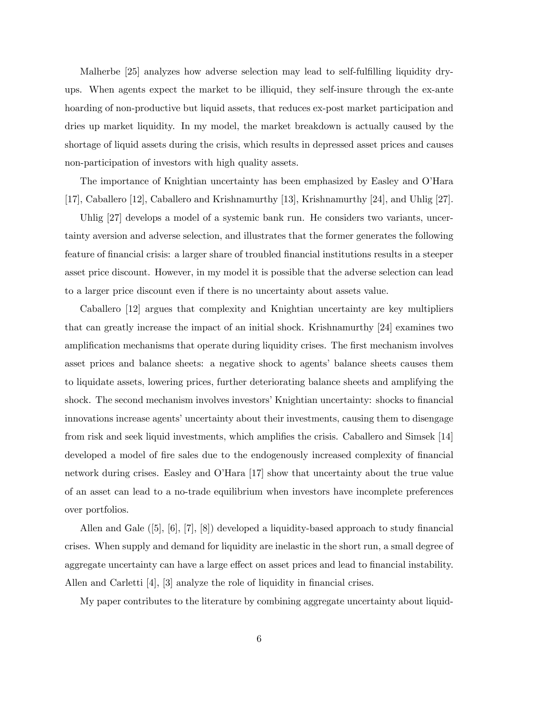Malherbe [25] analyzes how adverse selection may lead to self-fulfilling liquidity dryups. When agents expect the market to be illiquid, they self-insure through the ex-ante hoarding of non-productive but liquid assets, that reduces ex-post market participation and dries up market liquidity. In my model, the market breakdown is actually caused by the shortage of liquid assets during the crisis, which results in depressed asset prices and causes non-participation of investors with high quality assets.

The importance of Knightian uncertainty has been emphasized by Easley and O'Hara [17], Caballero [12], Caballero and Krishnamurthy [13], Krishnamurthy [24], and Uhlig [27].

Uhlig [27] develops a model of a systemic bank run. He considers two variants, uncertainty aversion and adverse selection, and illustrates that the former generates the following feature of financial crisis: a larger share of troubled financial institutions results in a steeper asset price discount. However, in my model it is possible that the adverse selection can lead to a larger price discount even if there is no uncertainty about assets value.

Caballero [12] argues that complexity and Knightian uncertainty are key multipliers that can greatly increase the impact of an initial shock. Krishnamurthy [24] examines two amplification mechanisms that operate during liquidity crises. The first mechanism involves asset prices and balance sheets: a negative shock to agentsí balance sheets causes them to liquidate assets, lowering prices, further deteriorating balance sheets and amplifying the shock. The second mechanism involves investors' Knightian uncertainty: shocks to financial innovations increase agents' uncertainty about their investments, causing them to disengage from risk and seek liquid investments, which amplifies the crisis. Caballero and Simsek [14] developed a model of fire sales due to the endogenously increased complexity of financial network during crises. Easley and OíHara [17] show that uncertainty about the true value of an asset can lead to a no-trade equilibrium when investors have incomplete preferences over portfolios.

Allen and Gale  $([5], [6], [7], [8])$  developed a liquidity-based approach to study financial crises. When supply and demand for liquidity are inelastic in the short run, a small degree of aggregate uncertainty can have a large effect on asset prices and lead to financial instability. Allen and Carletti  $[4]$ ,  $[3]$  analyze the role of liquidity in financial crises.

My paper contributes to the literature by combining aggregate uncertainty about liquid-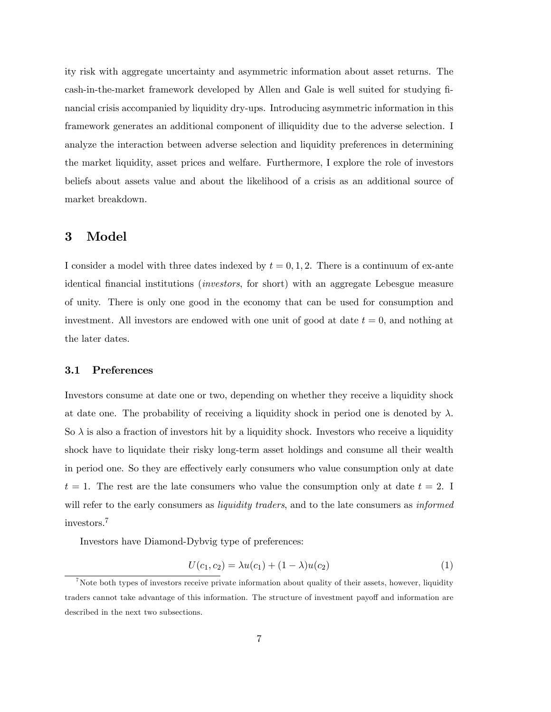ity risk with aggregate uncertainty and asymmetric information about asset returns. The cash-in-the-market framework developed by Allen and Gale is well suited for studying financial crisis accompanied by liquidity dry-ups. Introducing asymmetric information in this framework generates an additional component of illiquidity due to the adverse selection. I analyze the interaction between adverse selection and liquidity preferences in determining the market liquidity, asset prices and welfare. Furthermore, I explore the role of investors beliefs about assets value and about the likelihood of a crisis as an additional source of market breakdown.

# 3 Model

I consider a model with three dates indexed by  $t = 0, 1, 2$ . There is a continuum of ex-ante identical financial institutions *(investors, for short)* with an aggregate Lebesgue measure of unity. There is only one good in the economy that can be used for consumption and investment. All investors are endowed with one unit of good at date  $t = 0$ , and nothing at the later dates.

### 3.1 Preferences

Investors consume at date one or two, depending on whether they receive a liquidity shock at date one. The probability of receiving a liquidity shock in period one is denoted by  $\lambda$ . So  $\lambda$  is also a fraction of investors hit by a liquidity shock. Investors who receive a liquidity shock have to liquidate their risky long-term asset holdings and consume all their wealth in period one. So they are effectively early consumers who value consumption only at date  $t = 1$ . The rest are the late consumers who value the consumption only at date  $t = 2$ . will refer to the early consumers as *liquidity traders*, and to the late consumers as *informed* investors.<sup>7</sup>

Investors have Diamond-Dybvig type of preferences:

$$
U(c_1, c_2) = \lambda u(c_1) + (1 - \lambda)u(c_2)
$$
\n(1)

<sup>&</sup>lt;sup>7</sup>Note both types of investors receive private information about quality of their assets, however, liquidity traders cannot take advantage of this information. The structure of investment payoff and information are described in the next two subsections.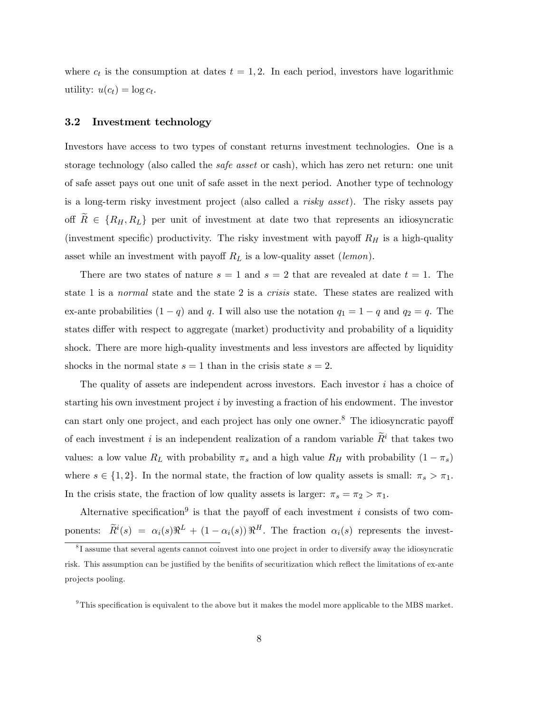where  $c_t$  is the consumption at dates  $t = 1, 2$ . In each period, investors have logarithmic utility:  $u(c_t) = \log c_t$ .

## 3.2 Investment technology

Investors have access to two types of constant returns investment technologies. One is a storage technology (also called the safe asset or cash), which has zero net return: one unit of safe asset pays out one unit of safe asset in the next period. Another type of technology is a long-term risky investment project (also called a risky asset). The risky assets pay off  $R \in \{R_H, R_L\}$  per unit of investment at date two that represents an idiosyncratic (investment specific) productivity. The risky investment with payoff  $R_H$  is a high-quality asset while an investment with payoff  $R_L$  is a low-quality asset (lemon).

There are two states of nature  $s = 1$  and  $s = 2$  that are revealed at date  $t = 1$ . The state 1 is a normal state and the state 2 is a crisis state. These states are realized with ex-ante probabilities  $(1 - q)$  and q. I will also use the notation  $q_1 = 1 - q$  and  $q_2 = q$ . The states differ with respect to aggregate (market) productivity and probability of a liquidity shock. There are more high-quality investments and less investors are affected by liquidity shocks in the normal state  $s = 1$  than in the crisis state  $s = 2$ .

The quality of assets are independent across investors. Each investor  $i$  has a choice of starting his own investment project  $i$  by investing a fraction of his endowment. The investor can start only one project, and each project has only one owner.<sup>8</sup> The idiosyncratic payoff of each investment *i* is an independent realization of a random variable  $\tilde{R}^i$  that takes two values: a low value  $R_L$  with probability  $\pi_s$  and a high value  $R_H$  with probability  $(1 - \pi_s)$ where  $s \in \{1, 2\}$ . In the normal state, the fraction of low quality assets is small:  $\pi_s > \pi_1$ . In the crisis state, the fraction of low quality assets is larger:  $\pi_s = \pi_2 > \pi_1$ .

Alternative specification<sup>9</sup> is that the payoff of each investment i consists of two components:  $\widetilde{R}^i(s) = \alpha_i(s) \Re^L + (1 - \alpha_i(s)) \Re^H$ . The fraction  $\alpha_i(s)$  represents the invest-

<sup>9</sup>This specification is equivalent to the above but it makes the model more applicable to the MBS market.

<sup>&</sup>lt;sup>8</sup>I assume that several agents cannot coinvest into one project in order to diversify away the idiosyncratic risk. This assumption can be justified by the benifits of securitization which reflect the limitations of ex-ante projects pooling.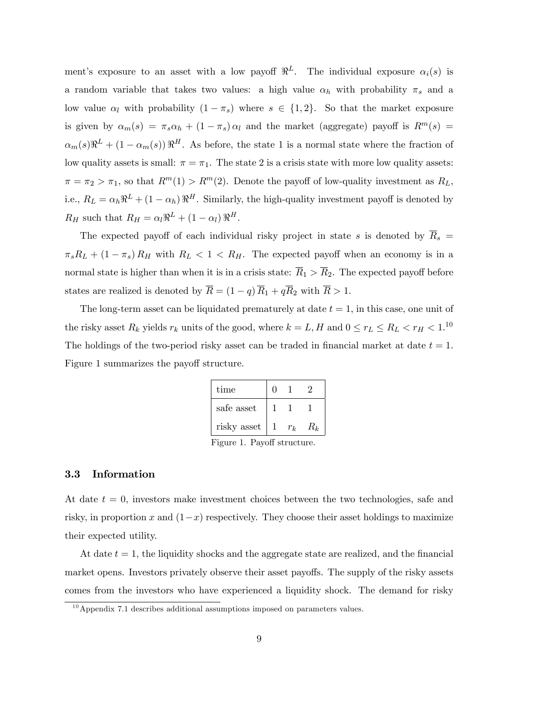ment's exposure to an asset with a low payoff  $\Re^L$ . The individual exposure  $\alpha_i(s)$  is a random variable that takes two values: a high value  $\alpha_h$  with probability  $\pi_s$  and a low value  $\alpha_l$  with probability  $(1 - \pi_s)$  where  $s \in \{1, 2\}$ . So that the market exposure is given by  $\alpha_m(s) = \pi_s \alpha_h + (1 - \pi_s) \alpha_l$  and the market (aggregate) payoff is  $R^m(s) =$  $\alpha_m(s) \Re^{L} + (1 - \alpha_m(s)) \Re^{H}$ . As before, the state 1 is a normal state where the fraction of low quality assets is small:  $\pi = \pi_1$ . The state 2 is a crisis state with more low quality assets:  $\pi = \pi_2 > \pi_1$ , so that  $R^m(1) > R^m(2)$ . Denote the payoff of low-quality investment as  $R_L$ , i.e.,  $R_L = \alpha_h \Re^L + (1 - \alpha_h) \Re^H$ . Similarly, the high-quality investment payoff is denoted by  $R_H$  such that  $R_H = \alpha_l \Re^L + (1 - \alpha_l) \Re^H$ .

The expected payoff of each individual risky project in state s is denoted by  $\overline{R}_s$  =  $\pi_s R_L + (1 - \pi_s) R_H$  with  $R_L < 1 < R_H$ . The expected payoff when an economy is in a normal state is higher than when it is in a crisis state:  $\overline{R}_1 > \overline{R}_2$ . The expected payoff before states are realized is denoted by  $\overline{R} = (1 - q) \overline{R}_1 + q \overline{R}_2$  with  $\overline{R} > 1$ .

The long-term asset can be liquidated prematurely at date  $t = 1$ , in this case, one unit of the risky asset  $R_k$  yields  $r_k$  units of the good, where  $k = L, H$  and  $0 \le r_L \le R_L < r_H < 1.10$ The holdings of the two-period risky asset can be traded in financial market at date  $t = 1$ . Figure 1 summarizes the payoff structure.

| time        |       |       |
|-------------|-------|-------|
| safe asset  |       |       |
| risky asset | $r_k$ | $R_k$ |

Figure 1. Payoff structure.

## 3.3 Information

At date  $t = 0$ , investors make investment choices between the two technologies, safe and risky, in proportion x and  $(1-x)$  respectively. They choose their asset holdings to maximize their expected utility.

At date  $t = 1$ , the liquidity shocks and the aggregate state are realized, and the financial market opens. Investors privately observe their asset payoffs. The supply of the risky assets comes from the investors who have experienced a liquidity shock. The demand for risky

 $10$ Appendix 7.1 describes additional assumptions imposed on parameters values.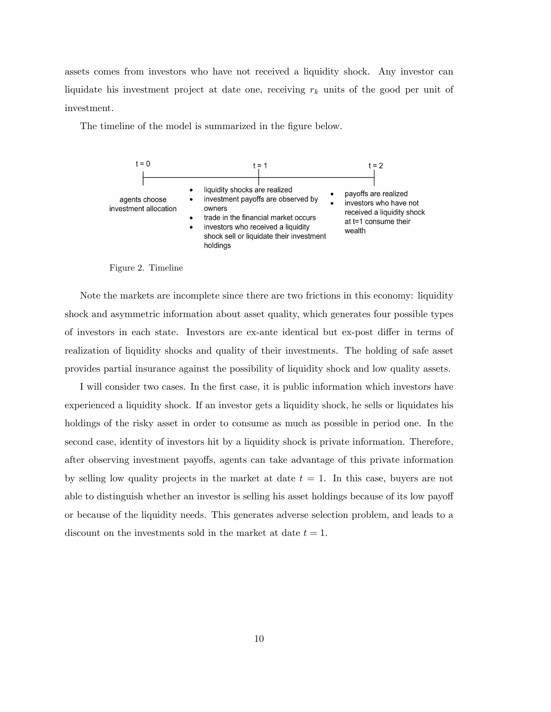assets comes from investors who have not received a liquidity shock. Any investor can liquidate his investment project at date one, receiving  $r_k$  units of the good per unit of investment.

The timeline of the model is summarized in the figure below.



Figure 2. Timeline

Note the markets are incomplete since there are two frictions in this economy: liquidity shock and asymmetric information about asset quality, which generates four possible types of investors in each state. Investors are ex-ante identical but ex-post differ in terms of realization of liquidity shocks and quality of their investments. The holding of safe asset provides partial insurance against the possibility of liquidity shock and low quality assets.

I will consider two cases. In the first case, it is public information which investors have experienced a liquidity shock. If an investor gets a liquidity shock, he sells or liquidates his holdings of the risky asset in order to consume as much as possible in period one. In the second case, identity of investors hit by a liquidity shock is private information. Therefore, after observing investment payoffs, agents can take advantage of this private information by selling low quality projects in the market at date  $t = 1$ . In this case, buyers are not able to distinguish whether an investor is selling his asset holdings because of its low payoff or because of the liquidity needs. This generates adverse selection problem, and leads to a discount on the investments sold in the market at date  $t = 1$ .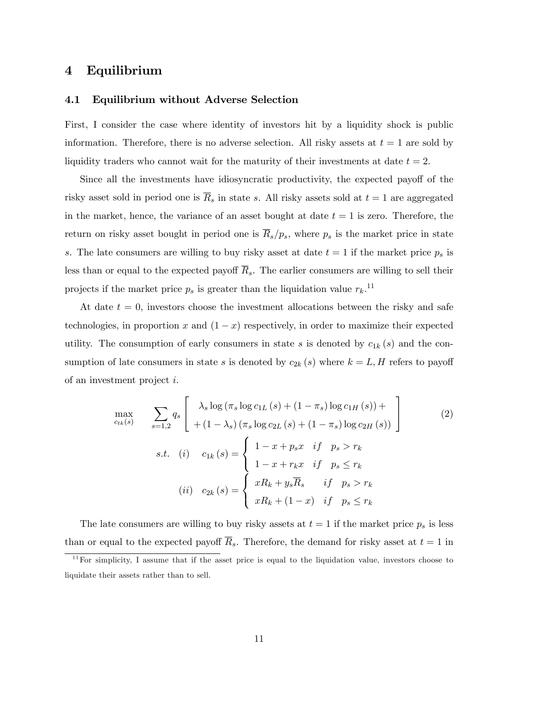# 4 Equilibrium

## 4.1 Equilibrium without Adverse Selection

First, I consider the case where identity of investors hit by a liquidity shock is public information. Therefore, there is no adverse selection. All risky assets at  $t = 1$  are sold by liquidity traders who cannot wait for the maturity of their investments at date  $t = 2$ .

Since all the investments have idiosyncratic productivity, the expected payoff of the risky asset sold in period one is  $\overline{R}_s$  in state s. All risky assets sold at  $t = 1$  are aggregated in the market, hence, the variance of an asset bought at date  $t = 1$  is zero. Therefore, the return on risky asset bought in period one is  $\overline{R}_s/p_s$ , where  $p_s$  is the market price in state s. The late consumers are willing to buy risky asset at date  $t = 1$  if the market price  $p_s$  is less than or equal to the expected payoff  $\overline{R}_s$ . The earlier consumers are willing to sell their projects if the market price  $p_s$  is greater than the liquidation value  $r_k$ .<sup>11</sup>

At date  $t = 0$ , investors choose the investment allocations between the risky and safe technologies, in proportion x and  $(1 - x)$  respectively, in order to maximize their expected utility. The consumption of early consumers in state s is denoted by  $c_{1k}(s)$  and the consumption of late consumers in state s is denoted by  $c_{2k}(s)$  where  $k = L, H$  refers to payoff of an investment project i.

$$
\max_{c_{tk}(s)} \sum_{s=1,2} q_s \left[ \begin{array}{c} \lambda_s \log(\pi_s \log c_{1L}(s) + (1 - \pi_s) \log c_{1H}(s)) + \\ + (1 - \lambda_s) (\pi_s \log c_{2L}(s) + (1 - \pi_s) \log c_{2H}(s)) \end{array} \right]
$$
(2)  
s.t. (i)  $c_{1k}(s) = \begin{cases} 1 - x + p_s x & \text{if } p_s > r_k \\ 1 - x + r_k x & \text{if } p_s \le r_k \\ 1 - x + r_k x & \text{if } p_s \le r_k \end{cases}$   
(ii)  $c_{2k}(s) = \begin{cases} xR_k + y_s \overline{R}_s & \text{if } p_s > r_k \\ xR_k + (1 - x) & \text{if } p_s \le r_k \end{cases}$ 

The late consumers are willing to buy risky assets at  $t = 1$  if the market price  $p_s$  is less than or equal to the expected payoff  $\overline{R}_s$ . Therefore, the demand for risky asset at  $t = 1$  in

 $11$  For simplicity, I assume that if the asset price is equal to the liquidation value, investors choose to liquidate their assets rather than to sell.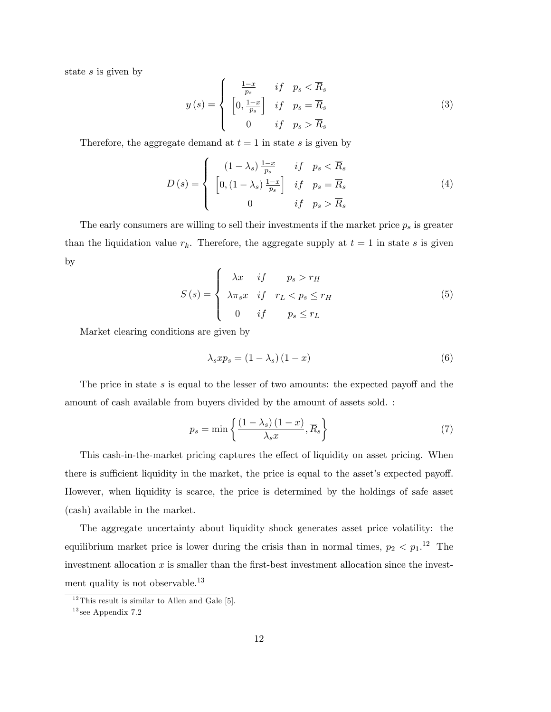state s is given by

$$
y(s) = \begin{cases} \frac{1-x}{p_s} & \text{if } p_s < \overline{R}_s \\ \left[0, \frac{1-x}{p_s}\right] & \text{if } p_s = \overline{R}_s \\ 0 & \text{if } p_s > \overline{R}_s \end{cases}
$$
(3)

Therefore, the aggregate demand at  $t = 1$  in state s is given by

$$
D(s) = \begin{cases} (1 - \lambda_s) \frac{1 - x}{p_s} & \text{if } p_s < \overline{R}_s \\ \left[ 0, (1 - \lambda_s) \frac{1 - x}{p_s} \right] & \text{if } p_s = \overline{R}_s \\ 0 & \text{if } p_s > \overline{R}_s \end{cases} \tag{4}
$$

The early consumers are willing to sell their investments if the market price  $p_s$  is greater than the liquidation value  $r_k$ . Therefore, the aggregate supply at  $t = 1$  in state s is given by

$$
S(s) = \begin{cases} \lambda x & if \qquad p_s > r_H \\ \lambda \pi_s x & if \quad r_L < p_s \le r_H \\ 0 & if \qquad p_s \le r_L \end{cases}
$$
 (5)

Market clearing conditions are given by

$$
\lambda_s x p_s = (1 - \lambda_s) (1 - x) \tag{6}
$$

The price in state  $s$  is equal to the lesser of two amounts: the expected payoff and the amount of cash available from buyers divided by the amount of assets sold. :

$$
p_s = \min\left\{\frac{(1-\lambda_s)(1-x)}{\lambda_s x}, \overline{R}_s\right\} \tag{7}
$$

This cash-in-the-market pricing captures the effect of liquidity on asset pricing. When there is sufficient liquidity in the market, the price is equal to the asset's expected payoff. However, when liquidity is scarce, the price is determined by the holdings of safe asset (cash) available in the market.

The aggregate uncertainty about liquidity shock generates asset price volatility: the equilibrium market price is lower during the crisis than in normal times,  $p_2 < p_1$ .<sup>12</sup> The investment allocation  $x$  is smaller than the first-best investment allocation since the investment quality is not observable.<sup>13</sup>

 $12$ This result is similar to Allen and Gale [5].

 $^{13}\rm{see}$  Appendix  $7.2$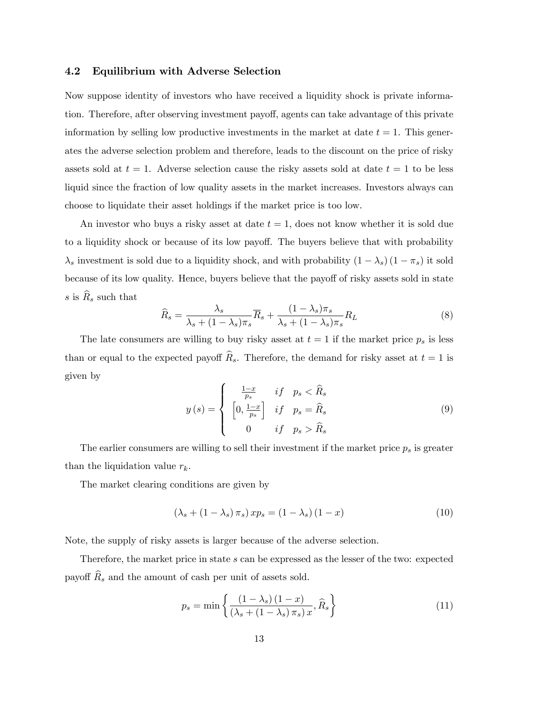## 4.2 Equilibrium with Adverse Selection

Now suppose identity of investors who have received a liquidity shock is private information. Therefore, after observing investment payoff, agents can take advantage of this private information by selling low productive investments in the market at date  $t = 1$ . This generates the adverse selection problem and therefore, leads to the discount on the price of risky assets sold at  $t = 1$ . Adverse selection cause the risky assets sold at date  $t = 1$  to be less liquid since the fraction of low quality assets in the market increases. Investors always can choose to liquidate their asset holdings if the market price is too low.

An investor who buys a risky asset at date  $t = 1$ , does not know whether it is sold due to a liquidity shock or because of its low payoff. The buyers believe that with probability  $\lambda_s$  investment is sold due to a liquidity shock, and with probability  $(1 - \lambda_s) (1 - \pi_s)$  it sold because of its low quality. Hence, buyers believe that the payoff of risky assets sold in state s is  $R_s$  such that

$$
\widehat{R}_s = \frac{\lambda_s}{\lambda_s + (1 - \lambda_s)\pi_s} \overline{R}_s + \frac{(1 - \lambda_s)\pi_s}{\lambda_s + (1 - \lambda_s)\pi_s} R_L
$$
\n(8)

The late consumers are willing to buy risky asset at  $t = 1$  if the market price  $p_s$  is less than or equal to the expected payoff  $\widehat{R}_s$ . Therefore, the demand for risky asset at  $t = 1$  is given by

$$
y(s) = \begin{cases} \frac{1-x}{p_s} & \text{if } p_s < \widehat{R}_s\\ \left[0, \frac{1-x}{p_s}\right] & \text{if } p_s = \widehat{R}_s\\ 0 & \text{if } p_s > \widehat{R}_s \end{cases} \tag{9}
$$

The earlier consumers are willing to sell their investment if the market price  $p_s$  is greater than the liquidation value  $r_k$ .

The market clearing conditions are given by

$$
(\lambda_s + (1 - \lambda_s) \pi_s) x p_s = (1 - \lambda_s) (1 - x)
$$
\n(10)

Note, the supply of risky assets is larger because of the adverse selection.

Therefore, the market price in state s can be expressed as the lesser of the two: expected payoff  $\widehat{R}_s$  and the amount of cash per unit of assets sold.

$$
p_s = \min\left\{\frac{\left(1 - \lambda_s\right)\left(1 - x\right)}{\left(\lambda_s + \left(1 - \lambda_s\right)\pi_s\right)x}, \widehat{R}_s\right\} \tag{11}
$$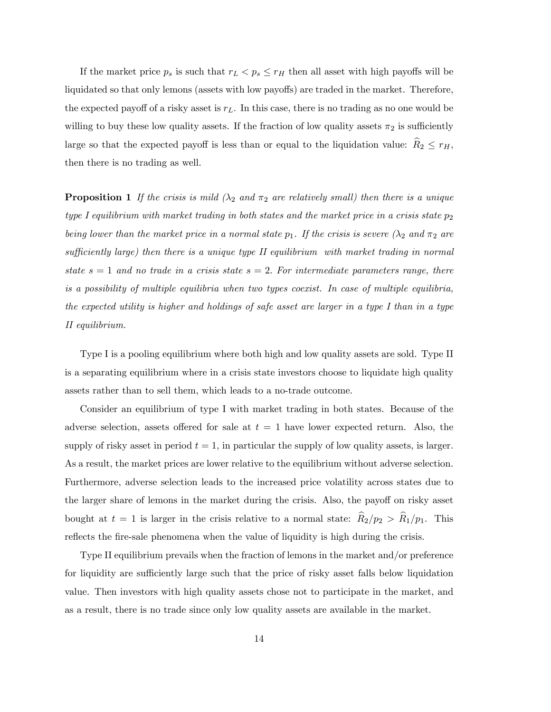If the market price  $p_s$  is such that  $r_L < p_s \leq r_H$  then all asset with high payoffs will be liquidated so that only lemons (assets with low payoffs) are traded in the market. Therefore, the expected payoff of a risky asset is  $r<sub>L</sub>$ . In this case, there is no trading as no one would be willing to buy these low quality assets. If the fraction of low quality assets  $\pi_2$  is sufficiently large so that the expected payoff is less than or equal to the liquidation value:  $\widehat{R}_2 \leq r_H$ , then there is no trading as well.

**Proposition 1** If the crisis is mild  $(\lambda_2 \text{ and } \pi_2 \text{ are relatively small})$  then there is a unique type I equilibrium with market trading in both states and the market price in a crisis state  $p_2$ being lower than the market price in a normal state  $p_1$ . If the crisis is severe  $(\lambda_2 \text{ and } \pi_2 \text{ are})$ sufficiently large) then there is a unique type  $II$  equilibrium with market trading in normal state  $s = 1$  and no trade in a crisis state  $s = 2$ . For intermediate parameters range, there is a possibility of multiple equilibria when two types coexist. In case of multiple equilibria, the expected utility is higher and holdings of safe asset are larger in a type I than in a type II equilibrium.

Type I is a pooling equilibrium where both high and low quality assets are sold. Type II is a separating equilibrium where in a crisis state investors choose to liquidate high quality assets rather than to sell them, which leads to a no-trade outcome.

Consider an equilibrium of type I with market trading in both states. Because of the adverse selection, assets offered for sale at  $t = 1$  have lower expected return. Also, the supply of risky asset in period  $t = 1$ , in particular the supply of low quality assets, is larger. As a result, the market prices are lower relative to the equilibrium without adverse selection. Furthermore, adverse selection leads to the increased price volatility across states due to the larger share of lemons in the market during the crisis. Also, the payoff on risky asset bought at  $t = 1$  is larger in the crisis relative to a normal state:  $\hat{R}_2/p_2 > \hat{R}_1/p_1$ . This reflects the fire-sale phenomena when the value of liquidity is high during the crisis.

Type II equilibrium prevails when the fraction of lemons in the market and/or preference for liquidity are sufficiently large such that the price of risky asset falls below liquidation value. Then investors with high quality assets chose not to participate in the market, and as a result, there is no trade since only low quality assets are available in the market.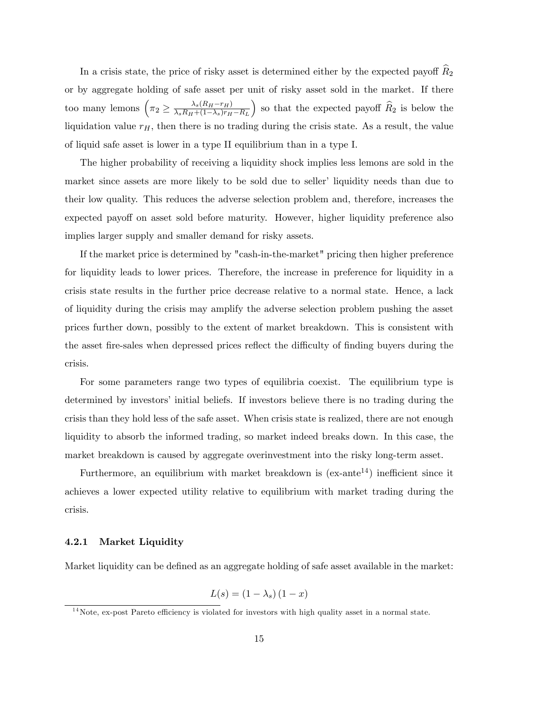In a crisis state, the price of risky asset is determined either by the expected payoff  $\widehat{R}_2$ or by aggregate holding of safe asset per unit of risky asset sold in the market. If there too many lemons  $\left(\pi_2 \geq \frac{\lambda_s (R_H - r_H)}{\lambda_s R_H + (1 - \lambda_s) r_H}\right)$  $\lambda_s R_H + (1-\lambda_s)r_H - R_L$ ) so that the expected payoff  $\widehat{R}_2$  is below the liquidation value  $r_H$ , then there is no trading during the crisis state. As a result, the value of liquid safe asset is lower in a type II equilibrium than in a type I.

The higher probability of receiving a liquidity shock implies less lemons are sold in the market since assets are more likely to be sold due to seller' liquidity needs than due to their low quality. This reduces the adverse selection problem and, therefore, increases the expected payoff on asset sold before maturity. However, higher liquidity preference also implies larger supply and smaller demand for risky assets.

If the market price is determined by "cash-in-the-market" pricing then higher preference for liquidity leads to lower prices. Therefore, the increase in preference for liquidity in a crisis state results in the further price decrease relative to a normal state. Hence, a lack of liquidity during the crisis may amplify the adverse selection problem pushing the asset prices further down, possibly to the extent of market breakdown. This is consistent with the asset fire-sales when depressed prices reflect the difficulty of finding buyers during the crisis.

For some parameters range two types of equilibria coexist. The equilibrium type is determined by investors' initial beliefs. If investors believe there is no trading during the crisis than they hold less of the safe asset. When crisis state is realized, there are not enough liquidity to absorb the informed trading, so market indeed breaks down. In this case, the market breakdown is caused by aggregate overinvestment into the risky long-term asset.

Furthermore, an equilibrium with market breakdown is  $(ex-ante<sup>14</sup>)$  inefficient since it achieves a lower expected utility relative to equilibrium with market trading during the crisis.

#### 4.2.1 Market Liquidity

Market liquidity can be defined as an aggregate holding of safe asset available in the market:

$$
L(s) = (1 - \lambda_s) (1 - x)
$$

 $14$ Note, ex-post Pareto efficiency is violated for investors with high quality asset in a normal state.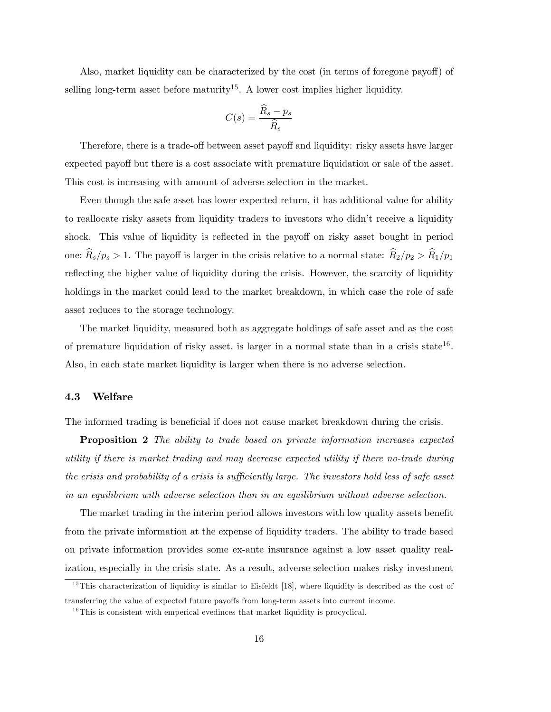Also, market liquidity can be characterized by the cost (in terms of foregone payoff) of selling long-term asset before maturity<sup>15</sup>. A lower cost implies higher liquidity.

$$
C(s) = \frac{\widehat{R}_s - p_s}{\widehat{R}_s}
$$

Therefore, there is a trade-off between asset payoff and liquidity: risky assets have larger expected payoff but there is a cost associate with premature liquidation or sale of the asset. This cost is increasing with amount of adverse selection in the market.

Even though the safe asset has lower expected return, it has additional value for ability to reallocate risky assets from liquidity traders to investors who didnít receive a liquidity shock. This value of liquidity is reflected in the payoff on risky asset bought in period one:  $\widehat{R}_s/p_s > 1$ . The payoff is larger in the crisis relative to a normal state:  $\widehat{R}_2/p_2 > \widehat{R}_1/p_1$ reflecting the higher value of liquidity during the crisis. However, the scarcity of liquidity holdings in the market could lead to the market breakdown, in which case the role of safe asset reduces to the storage technology.

The market liquidity, measured both as aggregate holdings of safe asset and as the cost of premature liquidation of risky asset, is larger in a normal state than in a crisis state<sup>16</sup>. Also, in each state market liquidity is larger when there is no adverse selection.

#### 4.3 Welfare

The informed trading is beneficial if does not cause market breakdown during the crisis.

Proposition 2 The ability to trade based on private information increases expected utility if there is market trading and may decrease expected utility if there no-trade during the crisis and probability of a crisis is sufficiently large. The investors hold less of safe asset in an equilibrium with adverse selection than in an equilibrium without adverse selection.

The market trading in the interim period allows investors with low quality assets benefit from the private information at the expense of liquidity traders. The ability to trade based on private information provides some ex-ante insurance against a low asset quality realization, especially in the crisis state. As a result, adverse selection makes risky investment

<sup>&</sup>lt;sup>15</sup>This characterization of liquidity is similar to Eisfeldt [18], where liquidity is described as the cost of transferring the value of expected future payo§s from long-term assets into current income.

 $16$ This is consistent with emperical evedinces that market liquidity is procyclical.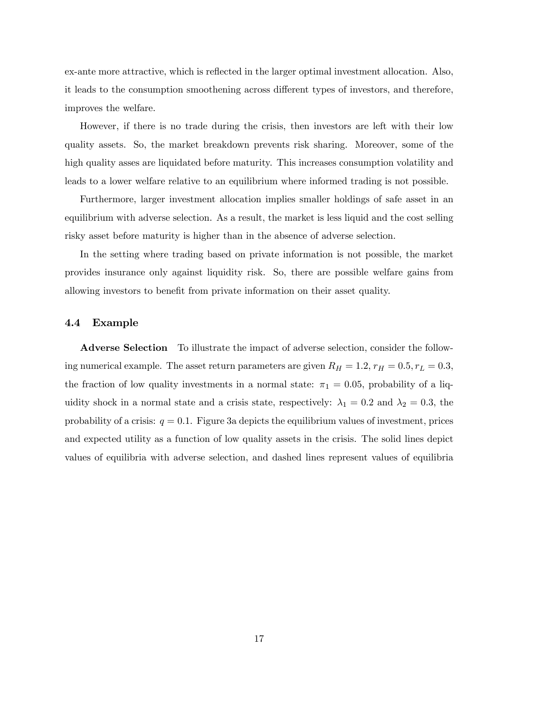ex-ante more attractive, which is reflected in the larger optimal investment allocation. Also, it leads to the consumption smoothening across different types of investors, and therefore, improves the welfare.

However, if there is no trade during the crisis, then investors are left with their low quality assets. So, the market breakdown prevents risk sharing. Moreover, some of the high quality asses are liquidated before maturity. This increases consumption volatility and leads to a lower welfare relative to an equilibrium where informed trading is not possible.

Furthermore, larger investment allocation implies smaller holdings of safe asset in an equilibrium with adverse selection. As a result, the market is less liquid and the cost selling risky asset before maturity is higher than in the absence of adverse selection.

In the setting where trading based on private information is not possible, the market provides insurance only against liquidity risk. So, there are possible welfare gains from allowing investors to benefit from private information on their asset quality.

### 4.4 Example

Adverse Selection To illustrate the impact of adverse selection, consider the following numerical example. The asset return parameters are given  $R_H = 1.2$ ,  $r_H = 0.5$ ,  $r_L = 0.3$ , the fraction of low quality investments in a normal state:  $\pi_1 = 0.05$ , probability of a liquidity shock in a normal state and a crisis state, respectively:  $\lambda_1 = 0.2$  and  $\lambda_2 = 0.3$ , the probability of a crisis:  $q = 0.1$ . Figure 3a depicts the equilibrium values of investment, prices and expected utility as a function of low quality assets in the crisis. The solid lines depict values of equilibria with adverse selection, and dashed lines represent values of equilibria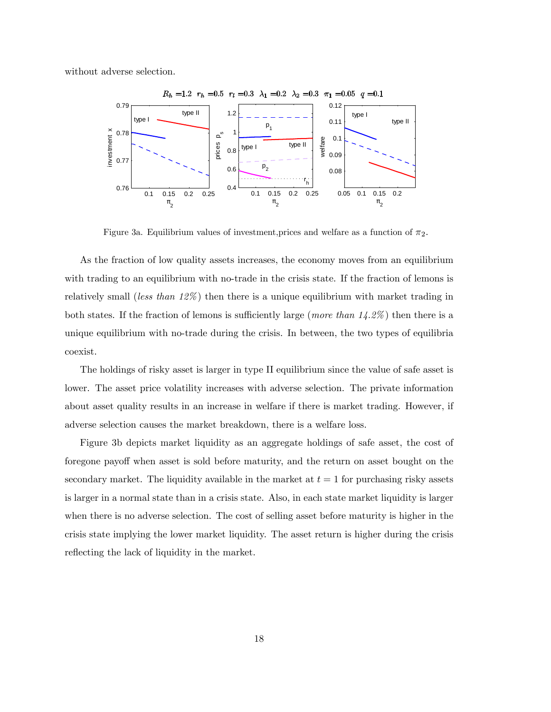without adverse selection.



Figure 3a. Equilibrium values of investment, prices and welfare as a function of  $\pi_2$ .

As the fraction of low quality assets increases, the economy moves from an equilibrium with trading to an equilibrium with no-trade in the crisis state. If the fraction of lemons is relatively small (less than  $12\%$ ) then there is a unique equilibrium with market trading in both states. If the fraction of lemons is sufficiently large (more than  $14.2\%$ ) then there is a unique equilibrium with no-trade during the crisis. In between, the two types of equilibria coexist.

The holdings of risky asset is larger in type II equilibrium since the value of safe asset is lower. The asset price volatility increases with adverse selection. The private information about asset quality results in an increase in welfare if there is market trading. However, if adverse selection causes the market breakdown, there is a welfare loss.

Figure 3b depicts market liquidity as an aggregate holdings of safe asset, the cost of foregone payoff when asset is sold before maturity, and the return on asset bought on the secondary market. The liquidity available in the market at  $t = 1$  for purchasing risky assets is larger in a normal state than in a crisis state. Also, in each state market liquidity is larger when there is no adverse selection. The cost of selling asset before maturity is higher in the crisis state implying the lower market liquidity. The asset return is higher during the crisis reflecting the lack of liquidity in the market.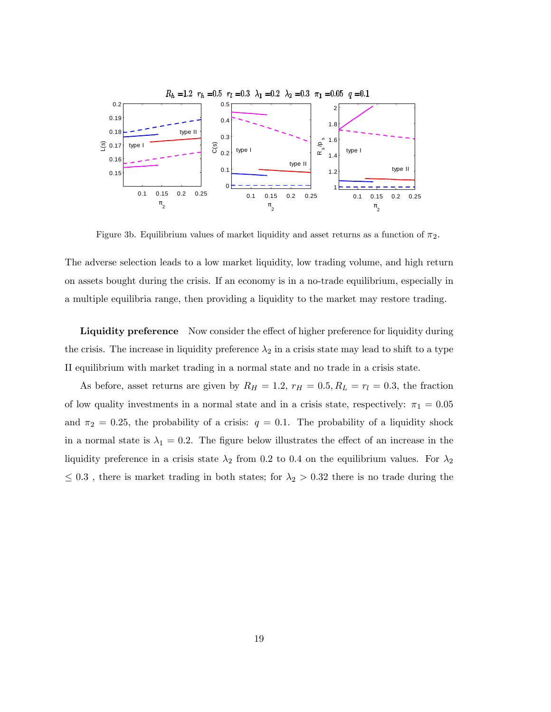

Figure 3b. Equilibrium values of market liquidity and asset returns as a function of  $\pi_2$ .

The adverse selection leads to a low market liquidity, low trading volume, and high return on assets bought during the crisis. If an economy is in a no-trade equilibrium, especially in a multiple equilibria range, then providing a liquidity to the market may restore trading.

**Liquidity preference** Now consider the effect of higher preference for liquidity during the crisis. The increase in liquidity preference  $\lambda_2$  in a crisis state may lead to shift to a type II equilibrium with market trading in a normal state and no trade in a crisis state.

As before, asset returns are given by  $R_H = 1.2$ ,  $r_H = 0.5$ ,  $R_L = r_l = 0.3$ , the fraction of low quality investments in a normal state and in a crisis state, respectively:  $\pi_1 = 0.05$ and  $\pi_2 = 0.25$ , the probability of a crisis:  $q = 0.1$ . The probability of a liquidity shock in a normal state is  $\lambda_1 = 0.2$ . The figure below illustrates the effect of an increase in the liquidity preference in a crisis state  $\lambda_2$  from 0.2 to 0.4 on the equilibrium values. For  $\lambda_2$  $\leq 0.3$ , there is market trading in both states; for  $\lambda_2 > 0.32$  there is no trade during the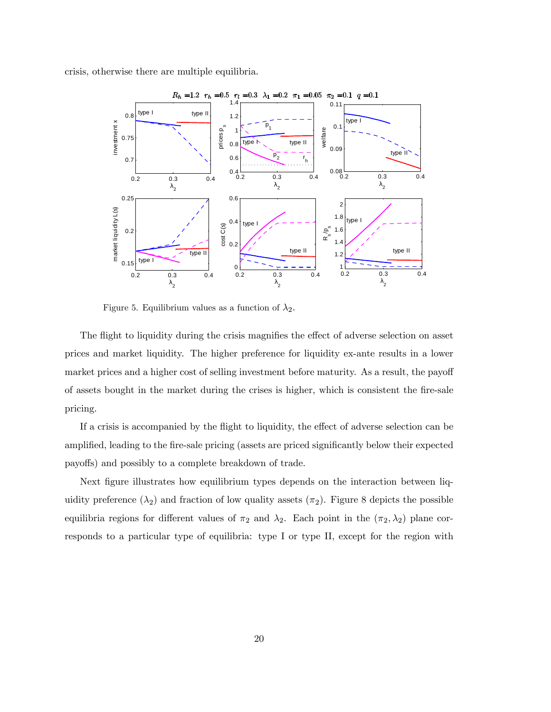crisis, otherwise there are multiple equilibria.



Figure 5. Equilibrium values as a function of  $\lambda_2$ .

The flight to liquidity during the crisis magnifies the effect of adverse selection on asset prices and market liquidity. The higher preference for liquidity ex-ante results in a lower market prices and a higher cost of selling investment before maturity. As a result, the payoff of assets bought in the market during the crises is higher, which is consistent the fire-sale pricing.

If a crisis is accompanied by the flight to liquidity, the effect of adverse selection can be amplified, leading to the fire-sale pricing (assets are priced significantly below their expected payoffs) and possibly to a complete breakdown of trade.

Next figure illustrates how equilibrium types depends on the interaction between liquidity preference  $(\lambda_2)$  and fraction of low quality assets  $(\pi_2)$ . Figure 8 depicts the possible equilibria regions for different values of  $\pi_2$  and  $\lambda_2$ . Each point in the  $(\pi_2, \lambda_2)$  plane corresponds to a particular type of equilibria: type I or type II, except for the region with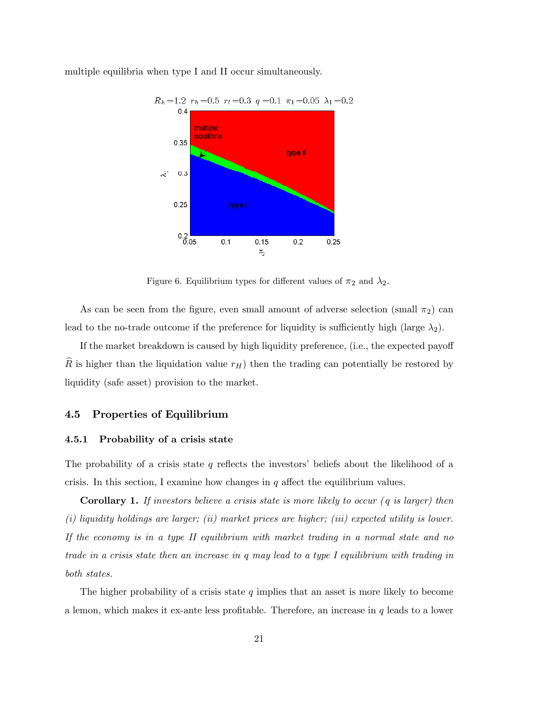

multiple equilibria when type I and II occur simultaneously.

Figure 6. Equilibrium types for different values of  $\pi_2$  and  $\lambda_2$ .

As can be seen from the figure, even small amount of adverse selection (small  $\pi_2$ ) can lead to the no-trade outcome if the preference for liquidity is sufficiently high (large  $\lambda_2$ ).

If the market breakdown is caused by high liquidity preference,  $(i.e., the expected payoff$ R is higher than the liquidation value  $r_H$ ) then the trading can potentially be restored by liquidity (safe asset) provision to the market.

### 4.5 Properties of Equilibrium

### 4.5.1 Probability of a crisis state

The probability of a crisis state  $q$  reflects the investors' beliefs about the likelihood of a crisis. In this section, I examine how changes in  $q$  affect the equilibrium values.

**Corollary 1.** If investors believe a crisis state is more likely to occur  $(q$  is larger) then (i) liquidity holdings are larger; (ii) market prices are higher; (iii) expected utility is lower. If the economy is in a type II equilibrium with market trading in a normal state and no trade in a crisis state then an increase in q may lead to a type I equilibrium with trading in both states.

The higher probability of a crisis state  $q$  implies that an asset is more likely to become a lemon, which makes it ex-ante less profitable. Therefore, an increase in  $q$  leads to a lower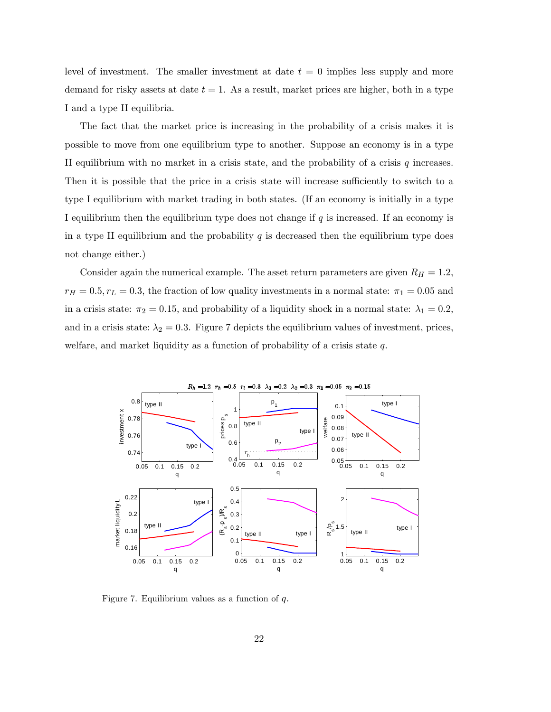level of investment. The smaller investment at date  $t = 0$  implies less supply and more demand for risky assets at date  $t = 1$ . As a result, market prices are higher, both in a type I and a type II equilibria.

The fact that the market price is increasing in the probability of a crisis makes it is possible to move from one equilibrium type to another. Suppose an economy is in a type II equilibrium with no market in a crisis state, and the probability of a crisis  $q$  increases. Then it is possible that the price in a crisis state will increase sufficiently to switch to a type I equilibrium with market trading in both states. (If an economy is initially in a type I equilibrium then the equilibrium type does not change if  $q$  is increased. If an economy is in a type II equilibrium and the probability  $q$  is decreased then the equilibrium type does not change either.)

Consider again the numerical example. The asset return parameters are given  $R_H = 1.2$ ,  $r_H = 0.5, r_L = 0.3$ , the fraction of low quality investments in a normal state:  $\pi_1 = 0.05$  and in a crisis state:  $\pi_2 = 0.15$ , and probability of a liquidity shock in a normal state:  $\lambda_1 = 0.2$ , and in a crisis state:  $\lambda_2 = 0.3$ . Figure 7 depicts the equilibrium values of investment, prices, welfare, and market liquidity as a function of probability of a crisis state  $q$ .



Figure 7. Equilibrium values as a function of  $q$ .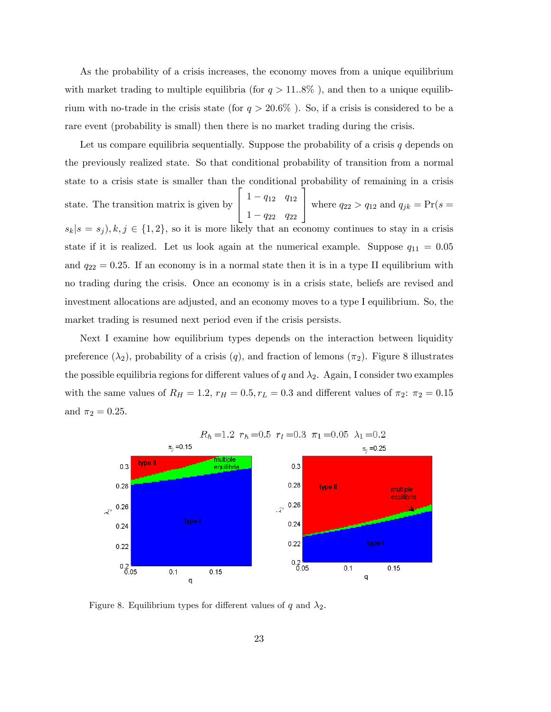As the probability of a crisis increases, the economy moves from a unique equilibrium with market trading to multiple equilibria (for  $q > 11.8\%$ ), and then to a unique equilibrium with no-trade in the crisis state (for  $q > 20.6\%$ ). So, if a crisis is considered to be a rare event (probability is small) then there is no market trading during the crisis.

Let us compare equilibria sequentially. Suppose the probability of a crisis  $q$  depends on the previously realized state. So that conditional probability of transition from a normal state to a crisis state is smaller than the conditional probability of remaining in a crisis state. The transition matrix is given by  $\sqrt{2}$ 4  $1 - q_{12}$   $q_{12}$  $1 - q_{22}$   $q_{22}$ ٦ where  $q_{22} > q_{12}$  and  $q_{jk} = Pr(s =$  $s_k | s = s_j$ ,  $k, j \in \{1, 2\}$ , so it is more likely that an economy continues to stay in a crisis state if it is realized. Let us look again at the numerical example. Suppose  $q_{11} = 0.05$ and  $q_{22} = 0.25$ . If an economy is in a normal state then it is in a type II equilibrium with no trading during the crisis. Once an economy is in a crisis state, beliefs are revised and investment allocations are adjusted, and an economy moves to a type I equilibrium. So, the market trading is resumed next period even if the crisis persists.

Next I examine how equilibrium types depends on the interaction between liquidity preference  $(\lambda_2)$ , probability of a crisis  $(q)$ , and fraction of lemons  $(\pi_2)$ . Figure 8 illustrates the possible equilibria regions for different values of q and  $\lambda_2$ . Again, I consider two examples with the same values of  $R_H = 1.2$ ,  $r_H = 0.5$ ,  $r_L = 0.3$  and different values of  $\pi_2$ :  $\pi_2 = 0.15$ and  $\pi_2 = 0.25$ .



# $R_h = 1.2 r_h = 0.5 r_l = 0.3 \pi_1 = 0.05 \lambda_1 = 0.2$

Figure 8. Equilibrium types for different values of q and  $\lambda_2$ .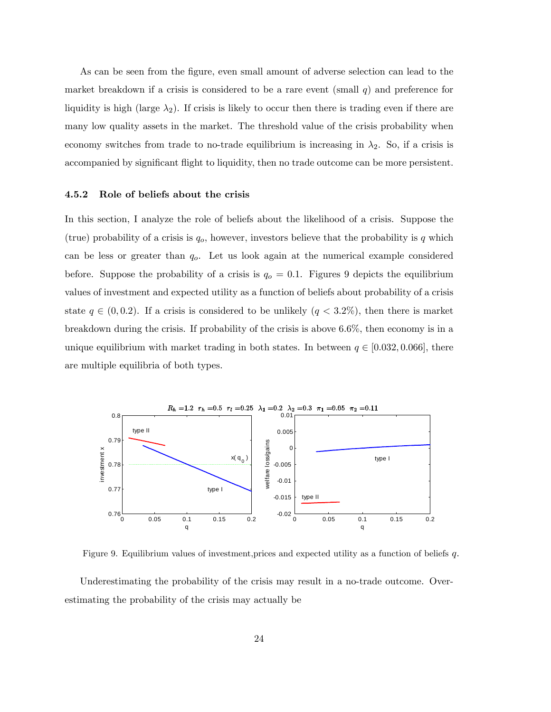As can be seen from the figure, even small amount of adverse selection can lead to the market breakdown if a crisis is considered to be a rare event (small  $q$ ) and preference for liquidity is high (large  $\lambda_2$ ). If crisis is likely to occur then there is trading even if there are many low quality assets in the market. The threshold value of the crisis probability when economy switches from trade to no-trade equilibrium is increasing in  $\lambda_2$ . So, if a crisis is accompanied by significant flight to liquidity, then no trade outcome can be more persistent.

#### 4.5.2 Role of beliefs about the crisis

In this section, I analyze the role of beliefs about the likelihood of a crisis. Suppose the (true) probability of a crisis is  $q_o$ , however, investors believe that the probability is q which can be less or greater than  $q<sub>o</sub>$ . Let us look again at the numerical example considered before. Suppose the probability of a crisis is  $q<sub>o</sub> = 0.1$ . Figures 9 depicts the equilibrium values of investment and expected utility as a function of beliefs about probability of a crisis state  $q \in (0, 0.2)$ . If a crisis is considered to be unlikely  $(q < 3.2\%)$ , then there is market breakdown during the crisis. If probability of the crisis is above 6.6%, then economy is in a unique equilibrium with market trading in both states. In between  $q \in [0.032, 0.066]$ , there are multiple equilibria of both types.



Figure 9. Equilibrium values of investment,prices and expected utility as a function of beliefs q.

Underestimating the probability of the crisis may result in a no-trade outcome. Overestimating the probability of the crisis may actually be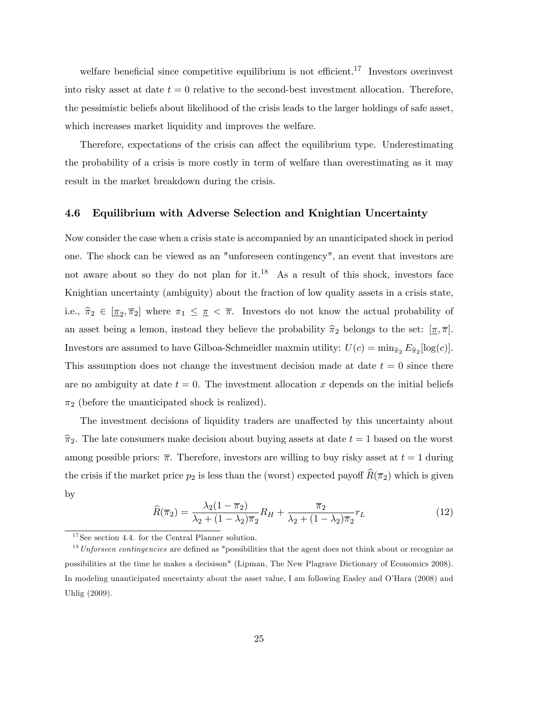welfare beneficial since competitive equilibrium is not efficient.<sup>17</sup> Investors overinvest into risky asset at date  $t = 0$  relative to the second-best investment allocation. Therefore, the pessimistic beliefs about likelihood of the crisis leads to the larger holdings of safe asset, which increases market liquidity and improves the welfare.

Therefore, expectations of the crisis can affect the equilibrium type. Underestimating the probability of a crisis is more costly in term of welfare than overestimating as it may result in the market breakdown during the crisis.

### 4.6 Equilibrium with Adverse Selection and Knightian Uncertainty

Now consider the case when a crisis state is accompanied by an unanticipated shock in period one. The shock can be viewed as an "unforeseen contingency", an event that investors are not aware about so they do not plan for it.<sup>18</sup> As a result of this shock, investors face Knightian uncertainty (ambiguity) about the fraction of low quality assets in a crisis state, i.e.,  $\hat{\pi}_2 \in [\underline{\pi}_2, \overline{\pi}_2]$  where  $\pi_1 \leq \pi < \overline{\pi}$ . Investors do not know the actual probability of an asset being a lemon, instead they believe the probability  $\hat{\pi}_2$  belongs to the set:  $[\underline{\pi}, \overline{\pi}]$ . Investors are assumed to have Gilboa-Schmeidler maxmin utility:  $U(c) = \min_{\hat{\pi}_2} E_{\hat{\pi}_2}[\log(c)].$ This assumption does not change the investment decision made at date  $t = 0$  since there are no ambiguity at date  $t = 0$ . The investment allocation x depends on the initial beliefs  $\pi_2$  (before the unanticipated shock is realized).

The investment decisions of liquidity traders are unaffected by this uncertainty about  $\hat{\pi}_2$ . The late consumers make decision about buying assets at date  $t = 1$  based on the worst among possible priors:  $\overline{\pi}$ . Therefore, investors are willing to buy risky asset at  $t = 1$  during the crisis if the market price  $p_2$  is less than the (worst) expected payoff  $\widehat{R}(\overline{\pi}_2)$  which is given by

$$
\widehat{R}(\overline{\pi}_2) = \frac{\lambda_2 (1 - \overline{\pi}_2)}{\lambda_2 + (1 - \lambda_2)\overline{\pi}_2} R_H + \frac{\overline{\pi}_2}{\lambda_2 + (1 - \lambda_2)\overline{\pi}_2} r_L
$$
\n(12)

 $^{17}$  See section 4.4. for the Central Planner solution.

 $18$ Unforseen contingencies are defined as "possibilities that the agent does not think about or recognize as possibilities at the time he makes a decisison" (Lipman, The New Plagrave Dictionary of Economics 2008). In modeling unanticipated uncertainty about the asset value, I am following Easley and O'Hara (2008) and Uhlig (2009).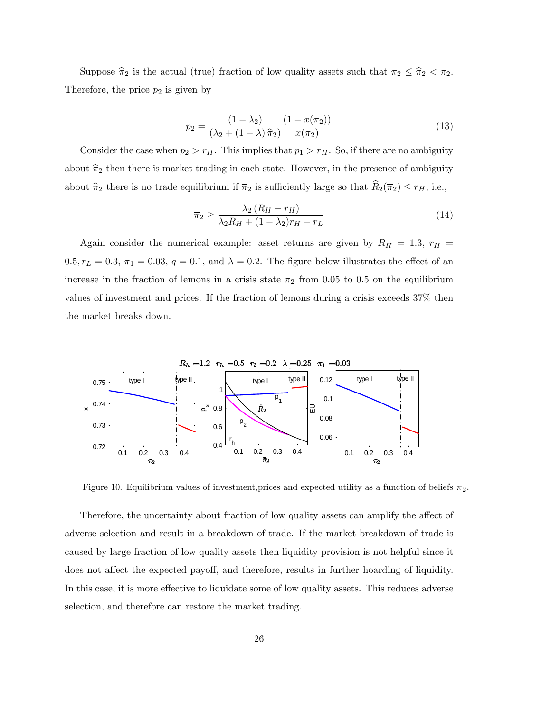Suppose  $\hat{\pi}_2$  is the actual (true) fraction of low quality assets such that  $\pi_2 \leq \hat{\pi}_2 < \overline{\pi}_2$ . Therefore, the price  $p_2$  is given by

$$
p_2 = \frac{(1 - \lambda_2)}{(\lambda_2 + (1 - \lambda)\hat{\pi}_2)} \frac{(1 - x(\pi_2))}{x(\pi_2)}
$$
(13)

Consider the case when  $p_2 > r_H$ . This implies that  $p_1 > r_H$ . So, if there are no ambiguity about  $\hat{\pi}_2$  then there is market trading in each state. However, in the presence of ambiguity about  $\hat{\pi}_2$  there is no trade equilibrium if  $\overline{\pi}_2$  is sufficiently large so that  $\widehat{R}_2(\overline{\pi}_2) \le r_H$ , i.e.,

$$
\overline{\pi}_2 \ge \frac{\lambda_2 \left(R_H - r_H\right)}{\lambda_2 R_H + (1 - \lambda_2) r_H - r_L} \tag{14}
$$

Again consider the numerical example: asset returns are given by  $R_H = 1.3$ ;  $r_H =$  $0.5, r<sub>L</sub> = 0.3, \pi<sub>1</sub> = 0.03, q = 0.1, \text{ and } \lambda = 0.2.$  The figure below illustrates the effect of an increase in the fraction of lemons in a crisis state  $\pi_2$  from 0.05 to 0.5 on the equilibrium values of investment and prices. If the fraction of lemons during a crisis exceeds 37% then the market breaks down.



Figure 10. Equilibrium values of investment, prices and expected utility as a function of beliefs  $\bar{\pi}_2$ .

Therefore, the uncertainty about fraction of low quality assets can amplify the affect of adverse selection and result in a breakdown of trade. If the market breakdown of trade is caused by large fraction of low quality assets then liquidity provision is not helpful since it does not affect the expected payoff, and therefore, results in further hoarding of liquidity. In this case, it is more effective to liquidate some of low quality assets. This reduces adverse selection, and therefore can restore the market trading.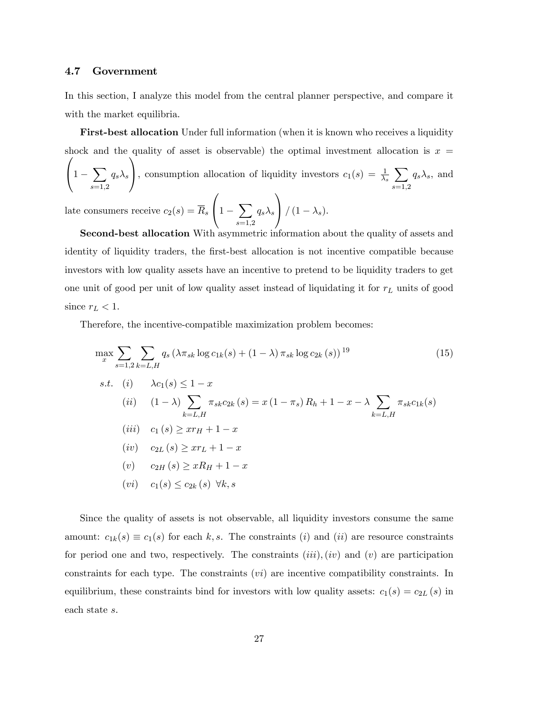### 4.7 Government

In this section, I analyze this model from the central planner perspective, and compare it with the market equilibria.

First-best allocation Under full information (when it is known who receives a liquidity  $\sqrt{ }$ shock and the quality of asset is observable) the optimal investment allocation is  $x =$  $\sqrt{2}$ 

 $\left(1-\sum\right)$  $_{s=1,2}$  $q_s\lambda_s$ , consumption allocation of liquidity investors  $c_1(s) = \frac{1}{\lambda_s} \sum$  $_{s=1,2}$  $q_s \lambda_s$ , and  $\sqrt{ }$ 1

late consumers receive  $c_2(s) = R_s$  $\left(1-\sum\right)$  $_{s=1,2}$  $q_s\lambda_s$  $\int (1 - \lambda_s).$ 

Second-best allocation With asymmetric information about the quality of assets and identity of liquidity traders, the first-best allocation is not incentive compatible because investors with low quality assets have an incentive to pretend to be liquidity traders to get one unit of good per unit of low quality asset instead of liquidating it for  $r<sub>L</sub>$  units of good since  $r_L < 1$ .

Therefore, the incentive-compatible maximization problem becomes:

$$
\max_{x} \sum_{s=1,2} \sum_{k=L,H} q_s \left( \lambda \pi_{sk} \log c_{1k}(s) + (1 - \lambda) \pi_{sk} \log c_{2k}(s) \right)^{19}
$$
(15)  
s.t. (i)  $\lambda c_1(s) \le 1 - x$   
(ii)  $(1 - \lambda) \sum_{k=L,H} \pi_{sk} c_{2k}(s) = x (1 - \pi_s) R_h + 1 - x - \lambda \sum_{k=L,H} \pi_{sk} c_{1k}(s)$   
(iii)  $c_1(s) \ge x r_H + 1 - x$   
(iv)  $c_{2L}(s) \ge x r_L + 1 - x$   
(v)  $c_{2H}(s) \ge x R_H + 1 - x$   
(vi)  $c_1(s) \le c_{2k}(s) \forall k, s$  (16)

Since the quality of assets is not observable, all liquidity investors consume the same amount:  $c_{1k}(s) \equiv c_1(s)$  for each k, s. The constraints (i) and (ii) are resource constraints for period one and two, respectively. The constraints  $(iii)$ ,  $(iv)$  and  $(v)$  are participation constraints for each type. The constraints (vi) are incentive compatibility constraints. In equilibrium, these constraints bind for investors with low quality assets:  $c_1(s) = c_{2L}(s)$  in each state s.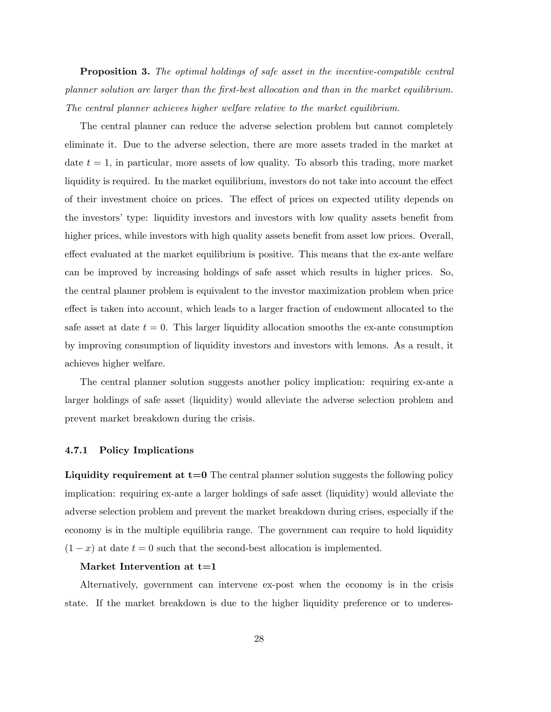**Proposition 3.** The optimal holdings of safe asset in the incentive-compatible central planner solution are larger than the Örst-best allocation and than in the market equilibrium. The central planner achieves higher welfare relative to the market equilibrium.

The central planner can reduce the adverse selection problem but cannot completely eliminate it. Due to the adverse selection, there are more assets traded in the market at date  $t = 1$ , in particular, more assets of low quality. To absorb this trading, more market liquidity is required. In the market equilibrium, investors do not take into account the effect of their investment choice on prices. The effect of prices on expected utility depends on the investors' type: liquidity investors and investors with low quality assets benefit from higher prices, while investors with high quality assets benefit from asset low prices. Overall, effect evaluated at the market equilibrium is positive. This means that the ex-ante welfare can be improved by increasing holdings of safe asset which results in higher prices. So, the central planner problem is equivalent to the investor maximization problem when price effect is taken into account, which leads to a larger fraction of endowment allocated to the safe asset at date  $t = 0$ . This larger liquidity allocation smooths the ex-ante consumption by improving consumption of liquidity investors and investors with lemons. As a result, it achieves higher welfare.

The central planner solution suggests another policy implication: requiring ex-ante a larger holdings of safe asset (liquidity) would alleviate the adverse selection problem and prevent market breakdown during the crisis.

#### 4.7.1 Policy Implications

Liquidity requirement at  $t=0$  The central planner solution suggests the following policy implication: requiring ex-ante a larger holdings of safe asset (liquidity) would alleviate the adverse selection problem and prevent the market breakdown during crises, especially if the economy is in the multiple equilibria range. The government can require to hold liquidity  $(1 - x)$  at date  $t = 0$  such that the second-best allocation is implemented.

#### Market Intervention at  $t=1$

Alternatively, government can intervene ex-post when the economy is in the crisis state. If the market breakdown is due to the higher liquidity preference or to underes-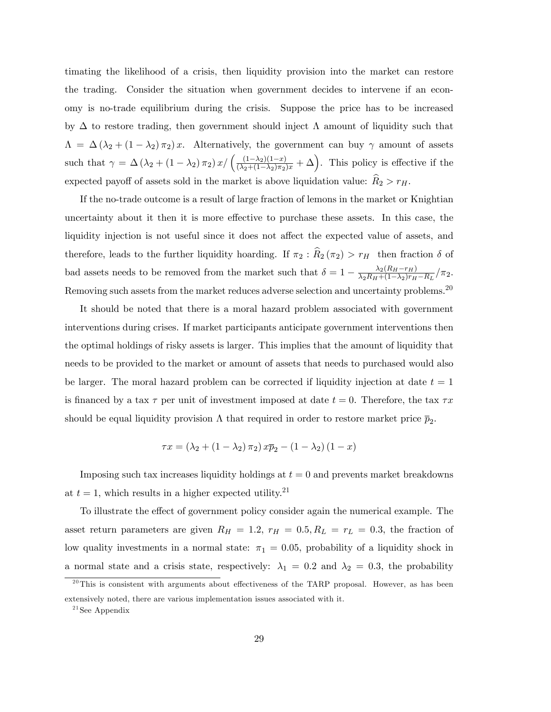timating the likelihood of a crisis, then liquidity provision into the market can restore the trading. Consider the situation when government decides to intervene if an economy is no-trade equilibrium during the crisis. Suppose the price has to be increased by  $\Delta$  to restore trading, then government should inject  $\Lambda$  amount of liquidity such that  $\Lambda = \Delta (\lambda_2 + (1 - \lambda_2) \pi_2) x$ . Alternatively, the government can buy  $\gamma$  amount of assets such that  $\gamma = \Delta (\lambda_2 + (1 - \lambda_2) \pi_2) x / ((\frac{(1 - \lambda_2)(1 - x)}{(\lambda_2 + (1 - \lambda_2) \pi_2)x} + \Delta)$ . This policy is effective if the expected payoff of assets sold in the market is above liquidation value:  $\hat{R}_2 > r_H$ .

If the no-trade outcome is a result of large fraction of lemons in the market or Knightian uncertainty about it then it is more effective to purchase these assets. In this case, the liquidity injection is not useful since it does not affect the expected value of assets, and therefore, leads to the further liquidity hoarding. If  $\pi_2 : \hat{R}_2(\pi_2) > r_H$  then fraction  $\delta$  of bad assets needs to be removed from the market such that  $\delta = 1 - \frac{\lambda_2 (R_H - r_H)}{\lambda_2 R_H + (1 - \lambda_2) r_H}$  $\frac{\lambda_2(R_H-r_H)}{\lambda_2R_H+(1-\lambda_2)r_H-R_L}/\pi_2.$ Removing such assets from the market reduces adverse selection and uncertainty problems.<sup>20</sup>

It should be noted that there is a moral hazard problem associated with government interventions during crises. If market participants anticipate government interventions then the optimal holdings of risky assets is larger. This implies that the amount of liquidity that needs to be provided to the market or amount of assets that needs to purchased would also be larger. The moral hazard problem can be corrected if liquidity injection at date  $t = 1$ is financed by a tax  $\tau$  per unit of investment imposed at date  $t = 0$ . Therefore, the tax  $\tau x$ should be equal liquidity provision  $\Lambda$  that required in order to restore market price  $\bar{p}_2$ .

$$
\tau x = (\lambda_2 + (1 - \lambda_2) \pi_2) x \overline{p}_2 - (1 - \lambda_2) (1 - x)
$$

Imposing such tax increases liquidity holdings at  $t = 0$  and prevents market breakdowns at  $t = 1$ , which results in a higher expected utility.<sup>21</sup>

To illustrate the effect of government policy consider again the numerical example. The asset return parameters are given  $R_H = 1.2$ ,  $r_H = 0.5$ ,  $R_L = r_L = 0.3$ , the fraction of low quality investments in a normal state:  $\pi_1 = 0.05$ , probability of a liquidity shock in a normal state and a crisis state, respectively:  $\lambda_1 = 0.2$  and  $\lambda_2 = 0.3$ , the probability

 $^{20}$ This is consistent with arguments about effectiveness of the TARP proposal. However, as has been extensively noted, there are various implementation issues associated with it.

 $21$  See Appendix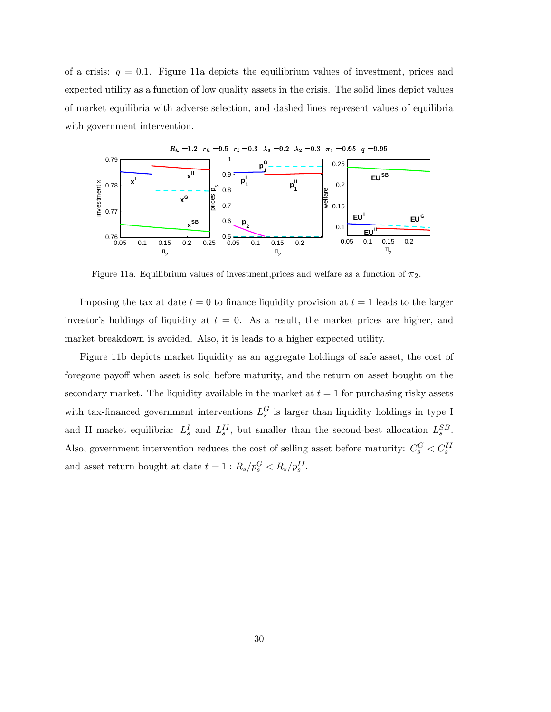of a crisis:  $q = 0.1$ . Figure 11a depicts the equilibrium values of investment, prices and expected utility as a function of low quality assets in the crisis. The solid lines depict values of market equilibria with adverse selection, and dashed lines represent values of equilibria with government intervention.



Figure 11a. Equilibrium values of investment, prices and welfare as a function of  $\pi_2$ .

Imposing the tax at date  $t = 0$  to finance liquidity provision at  $t = 1$  leads to the larger investor's holdings of liquidity at  $t = 0$ . As a result, the market prices are higher, and market breakdown is avoided. Also, it is leads to a higher expected utility.

Figure 11b depicts market liquidity as an aggregate holdings of safe asset, the cost of foregone payoff when asset is sold before maturity, and the return on asset bought on the secondary market. The liquidity available in the market at  $t = 1$  for purchasing risky assets with tax-financed government interventions  $L_s^G$  is larger than liquidity holdings in type I and II market equilibria:  $L_s^I$  and  $L_s^{II}$ , but smaller than the second-best allocation  $L_s^{SB}$ . Also, government intervention reduces the cost of selling asset before maturity:  $C_s^G < C_s^{II}$ and asset return bought at date  $t = 1$ :  $R_s/p_s^G < R_s/p_s^{II}$ .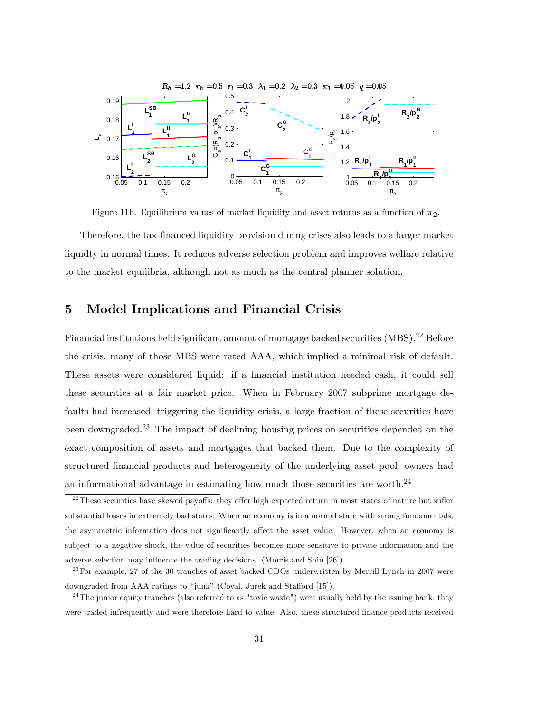

Figure 11b. Equilibrium values of market liquidity and asset returns as a function of  $\pi_2$ .

Therefore, the tax-Önanced liquidity provision during crises also leads to a larger market liquidty in normal times. It reduces adverse selection problem and improves welfare relative to the market equilibria, although not as much as the central planner solution.

# 5 Model Implications and Financial Crisis

Financial institutions held significant amount of mortgage backed securities  $(MBS).^{22}$  Before the crisis, many of those MBS were rated AAA, which implied a minimal risk of default. These assets were considered liquid: if a financial institution needed cash, it could sell these securities at a fair market price. When in February 2007 subprime mortgage defaults had increased, triggering the liquidity crisis, a large fraction of these securities have been downgraded.<sup>23</sup> The impact of declining housing prices on securities depended on the exact composition of assets and mortgages that backed them. Due to the complexity of structured Önancial products and heterogeneity of the underlying asset pool, owners had an informational advantage in estimating how much those securities are worth.<sup>24</sup>

 $22$  These securities have skewed payoffs: they offer high expected return in most states of nature but suffer substantial losses in extremely bad states. When an economy is in a normal state with strong fundamentals, the asymmetric information does not significantly affect the asset value. However, when an economy is subject to a negative shock, the value of securities becomes more sensitive to private information and the adverse selection may influence the trading decisions. (Morris and Shin [26])

 $^{23}$  For example, 27 of the 30 tranches of asset-backed CDOs underwritten by Merrill Lynch in 2007 were downgraded from AAA ratings to "junk" (Coval, Jurek and Stafford [15]).

 $24$ The junior equity tranches (also referred to as "toxic waste") were usually held by the issuing bank; they were traded infrequently and were therefore hard to value. Also, these structured finance products received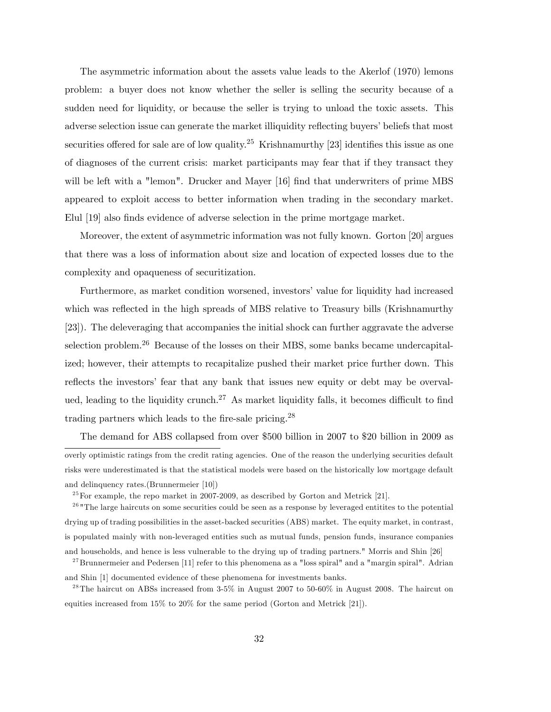The asymmetric information about the assets value leads to the Akerlof (1970) lemons problem: a buyer does not know whether the seller is selling the security because of a sudden need for liquidity, or because the seller is trying to unload the toxic assets. This adverse selection issue can generate the market illiquidity reflecting buyers' beliefs that most securities offered for sale are of low quality.<sup>25</sup> Krishnamurthy [23] identifies this issue as one of diagnoses of the current crisis: market participants may fear that if they transact they will be left with a "lemon". Drucker and Mayer [16] find that underwriters of prime MBS appeared to exploit access to better information when trading in the secondary market. Elul [19] also finds evidence of adverse selection in the prime mortgage market.

Moreover, the extent of asymmetric information was not fully known. Gorton [20] argues that there was a loss of information about size and location of expected losses due to the complexity and opaqueness of securitization.

Furthermore, as market condition worsened, investors' value for liquidity had increased which was reflected in the high spreads of MBS relative to Treasury bills (Krishnamurthy [23]). The deleveraging that accompanies the initial shock can further aggravate the adverse selection problem.<sup>26</sup> Because of the losses on their MBS, some banks became undercapitalized; however, their attempts to recapitalize pushed their market price further down. This reflects the investors' fear that any bank that issues new equity or debt may be overvalued, leading to the liquidity crunch.<sup>27</sup> As market liquidity falls, it becomes difficult to find trading partners which leads to the fire-sale pricing. $^{28}$ 

The demand for ABS collapsed from over \$500 billion in 2007 to \$20 billion in 2009 as overly optimistic ratings from the credit rating agencies. One of the reason the underlying securities default risks were underestimated is that the statistical models were based on the historically low mortgage default and delinquency rates.(Brunnermeier [10])

 $^{25}$  For example, the repo market in 2007-2009, as described by Gorton and Metrick [21].

 $26$  "The large haircuts on some securities could be seen as a response by leveraged entitites to the potential drying up of trading possibilities in the asset-backed securities (ABS) market. The equity market, in contrast, is populated mainly with non-leveraged entities such as mutual funds, pension funds, insurance companies and households, and hence is less vulnerable to the drying up of trading partners." Morris and Shin [26]

 $27$ Brunnermeier and Pedersen [11] refer to this phenomena as a "loss spiral" and a "margin spiral". Adrian and Shin [1] documented evidence of these phenomena for investments banks.

<sup>&</sup>lt;sup>28</sup> The haircut on ABSs increased from  $3-5\%$  in August 2007 to 50-60% in August 2008. The haircut on equities increased from 15% to 20% for the same period (Gorton and Metrick [21]).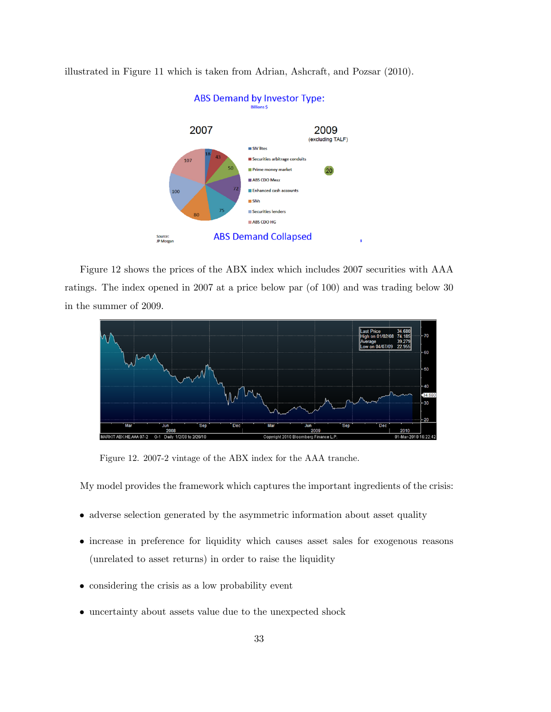

illustrated in Figure 11 which is taken from Adrian, Ashcraft, and Pozsar (2010).

Figure 12 shows the prices of the ABX index which includes 2007 securities with AAA ratings. The index opened in 2007 at a price below par (of 100) and was trading below 30 in the summer of 2009.



Figure 12. 2007-2 vintage of the ABX index for the AAA tranche.

My model provides the framework which captures the important ingredients of the crisis:

- adverse selection generated by the asymmetric information about asset quality
- increase in preference for liquidity which causes asset sales for exogenous reasons (unrelated to asset returns) in order to raise the liquidity
- considering the crisis as a low probability event
- uncertainty about assets value due to the unexpected shock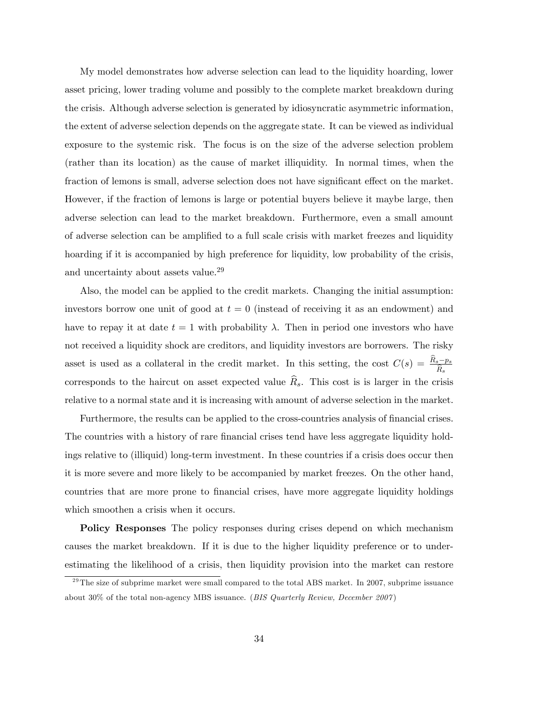My model demonstrates how adverse selection can lead to the liquidity hoarding, lower asset pricing, lower trading volume and possibly to the complete market breakdown during the crisis. Although adverse selection is generated by idiosyncratic asymmetric information, the extent of adverse selection depends on the aggregate state. It can be viewed as individual exposure to the systemic risk. The focus is on the size of the adverse selection problem (rather than its location) as the cause of market illiquidity. In normal times, when the fraction of lemons is small, adverse selection does not have significant effect on the market. However, if the fraction of lemons is large or potential buyers believe it maybe large, then adverse selection can lead to the market breakdown. Furthermore, even a small amount of adverse selection can be amplified to a full scale crisis with market freezes and liquidity hoarding if it is accompanied by high preference for liquidity, low probability of the crisis, and uncertainty about assets value.<sup>29</sup>

Also, the model can be applied to the credit markets. Changing the initial assumption: investors borrow one unit of good at  $t = 0$  (instead of receiving it as an endowment) and have to repay it at date  $t = 1$  with probability  $\lambda$ . Then in period one investors who have not received a liquidity shock are creditors, and liquidity investors are borrowers. The risky asset is used as a collateral in the credit market. In this setting, the cost  $C(s) = \frac{R_s - p_s}{\hat{R}_s}$ corresponds to the haircut on asset expected value  $\widehat{R}_{s}$ . This cost is is larger in the crisis relative to a normal state and it is increasing with amount of adverse selection in the market.

Furthermore, the results can be applied to the cross-countries analysis of financial crises. The countries with a history of rare financial crises tend have less aggregate liquidity holdings relative to (illiquid) long-term investment. In these countries if a crisis does occur then it is more severe and more likely to be accompanied by market freezes. On the other hand, countries that are more prone to financial crises, have more aggregate liquidity holdings which smoothen a crisis when it occurs.

Policy Responses The policy responses during crises depend on which mechanism causes the market breakdown. If it is due to the higher liquidity preference or to underestimating the likelihood of a crisis, then liquidity provision into the market can restore

 $^{29}$ The size of subprime market were small compared to the total ABS market. In 2007, subprime issuance about 30% of the total non-agency MBS issuance. (BIS Quarterly Review, December 2007)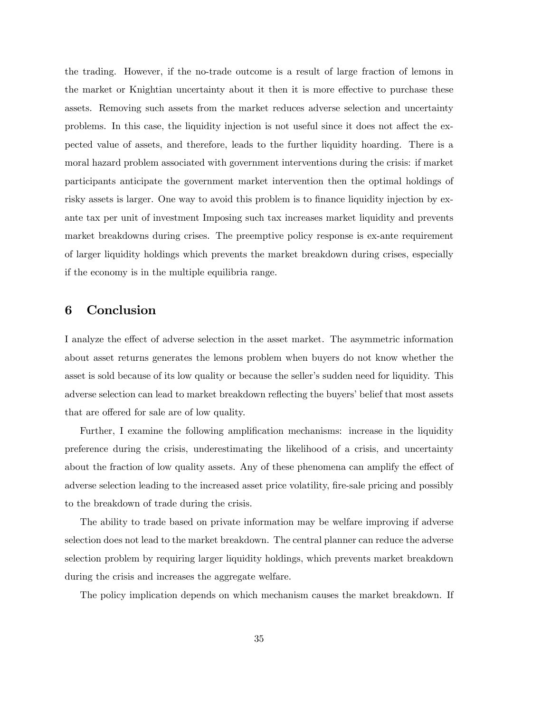the trading. However, if the no-trade outcome is a result of large fraction of lemons in the market or Knightian uncertainty about it then it is more effective to purchase these assets. Removing such assets from the market reduces adverse selection and uncertainty problems. In this case, the liquidity injection is not useful since it does not affect the expected value of assets, and therefore, leads to the further liquidity hoarding. There is a moral hazard problem associated with government interventions during the crisis: if market participants anticipate the government market intervention then the optimal holdings of risky assets is larger. One way to avoid this problem is to finance liquidity injection by exante tax per unit of investment Imposing such tax increases market liquidity and prevents market breakdowns during crises. The preemptive policy response is ex-ante requirement of larger liquidity holdings which prevents the market breakdown during crises, especially if the economy is in the multiple equilibria range.

# 6 Conclusion

I analyze the effect of adverse selection in the asset market. The asymmetric information about asset returns generates the lemons problem when buyers do not know whether the asset is sold because of its low quality or because the seller's sudden need for liquidity. This adverse selection can lead to market breakdown reflecting the buyers' belief that most assets that are offered for sale are of low quality.

Further, I examine the following amplification mechanisms: increase in the liquidity preference during the crisis, underestimating the likelihood of a crisis, and uncertainty about the fraction of low quality assets. Any of these phenomena can amplify the effect of adverse selection leading to the increased asset price volatility, fire-sale pricing and possibly to the breakdown of trade during the crisis.

The ability to trade based on private information may be welfare improving if adverse selection does not lead to the market breakdown. The central planner can reduce the adverse selection problem by requiring larger liquidity holdings, which prevents market breakdown during the crisis and increases the aggregate welfare.

The policy implication depends on which mechanism causes the market breakdown. If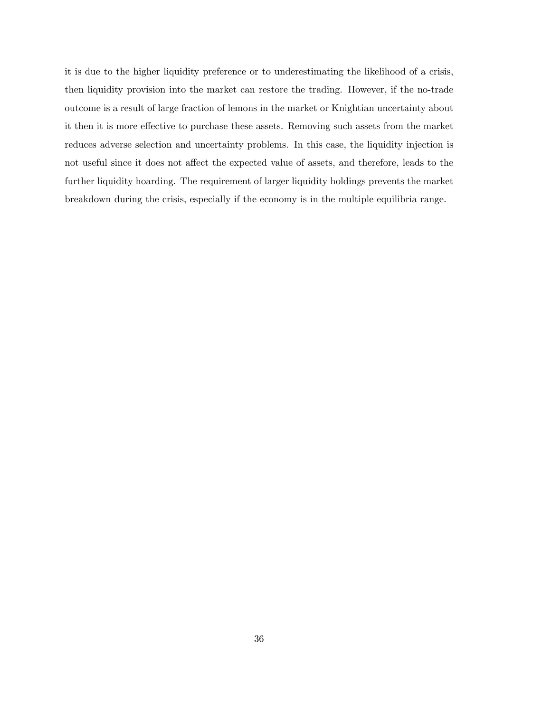it is due to the higher liquidity preference or to underestimating the likelihood of a crisis, then liquidity provision into the market can restore the trading. However, if the no-trade outcome is a result of large fraction of lemons in the market or Knightian uncertainty about it then it is more effective to purchase these assets. Removing such assets from the market reduces adverse selection and uncertainty problems. In this case, the liquidity injection is not useful since it does not affect the expected value of assets, and therefore, leads to the further liquidity hoarding. The requirement of larger liquidity holdings prevents the market breakdown during the crisis, especially if the economy is in the multiple equilibria range.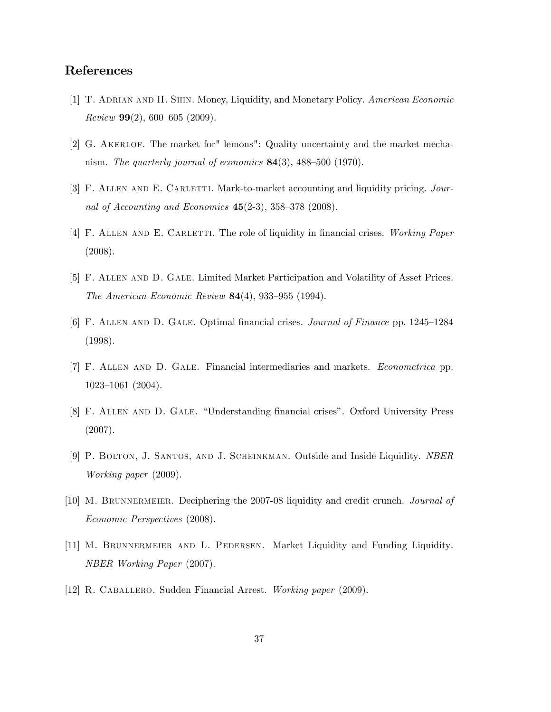# References

- [1] T. ADRIAN AND H. SHIN. Money, Liquidity, and Monetary Policy. American Economic Review  $99(2)$ , 600-605 (2009).
- [2] G. Akerlof. The market for" lemons": Quality uncertainty and the market mechanism. The quarterly journal of economics  $84(3)$ ,  $488-500$  (1970).
- [3] F. ALLEN AND E. CARLETTI. Mark-to-market accounting and liquidity pricing. Journal of Accounting and Economics  $45(2-3)$ ,  $358-378$  (2008).
- [4] F. ALLEN AND E. CARLETTI. The role of liquidity in financial crises. Working Paper (2008).
- [5] F. Allen and D. Gale. Limited Market Participation and Volatility of Asset Prices. The American Economic Review  $84(4)$ , 933-955 (1994).
- [6] F. ALLEN AND D. GALE. Optimal financial crises. *Journal of Finance* pp.  $1245-1284$ (1998).
- [7] F. Allen and D. Gale. Financial intermediaries and markets. Econometrica pp. 1023-1061 (2004).
- [8] F. ALLEN AND D. GALE. "Understanding financial crises". Oxford University Press (2007).
- [9] P. Bolton, J. Santos, and J. Scheinkman. Outside and Inside Liquidity. NBER Working paper (2009).
- [10] M. Brunnermeier. Deciphering the 2007-08 liquidity and credit crunch. Journal of Economic Perspectives (2008).
- [11] M. Brunnermeier and L. Pedersen. Market Liquidity and Funding Liquidity. NBER Working Paper (2007).
- [12] R. Caballero. Sudden Financial Arrest. Working paper (2009).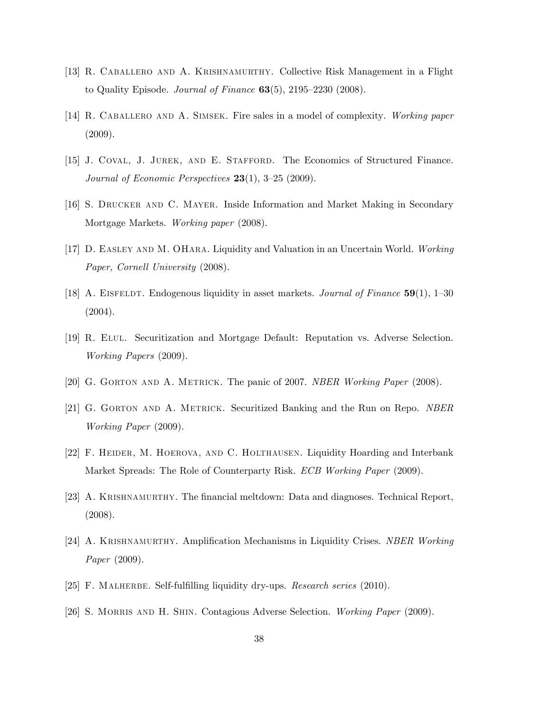- [13] R. Caballero and A. Krishnamurthy. Collective Risk Management in a Flight to Quality Episode. *Journal of Finance*  $63(5)$ ,  $2195-2230$  (2008).
- [14] R. CABALLERO AND A. SIMSEK. Fire sales in a model of complexity. Working paper (2009).
- [15] J. Coval, J. Jurek, and E. Stafford. The Economics of Structured Finance. Journal of Economic Perspectives  $23(1)$ , 3-25 (2009).
- [16] S. Drucker and C. Mayer. Inside Information and Market Making in Secondary Mortgage Markets. Working paper (2008).
- [17] D. Easley and M. OHara. Liquidity and Valuation in an Uncertain World. Working Paper, Cornell University (2008).
- [18] A. EISFELDT. Endogenous liquidity in asset markets. *Journal of Finance*  $59(1)$ , 1–30 (2004).
- [19] R. Elul. Securitization and Mortgage Default: Reputation vs. Adverse Selection. Working Papers (2009).
- [20] G. GORTON AND A. METRICK. The panic of 2007. NBER Working Paper (2008).
- [21] G. Gorton and A. Metrick. Securitized Banking and the Run on Repo. NBER Working Paper (2009).
- [22] F. HEIDER, M. HOEROVA, AND C. HOLTHAUSEN. Liquidity Hoarding and Interbank Market Spreads: The Role of Counterparty Risk. *ECB Working Paper* (2009).
- [23] A. Krishnamurthy. The Önancial meltdown: Data and diagnoses. Technical Report, (2008).
- [24] A. KRISHNAMURTHY. Amplification Mechanisms in Liquidity Crises. NBER Working Paper (2009).
- [25] F. MALHERBE. Self-fulfilling liquidity dry-ups. Research series (2010).
- [26] S. MORRIS AND H. SHIN. Contagious Adverse Selection. Working Paper (2009).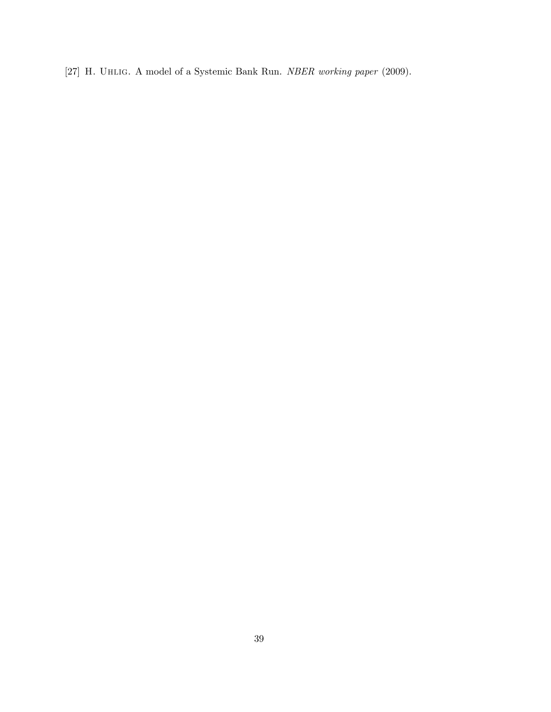[27] H. Uhlig. A model of a Systemic Bank Run. NBER working paper (2009).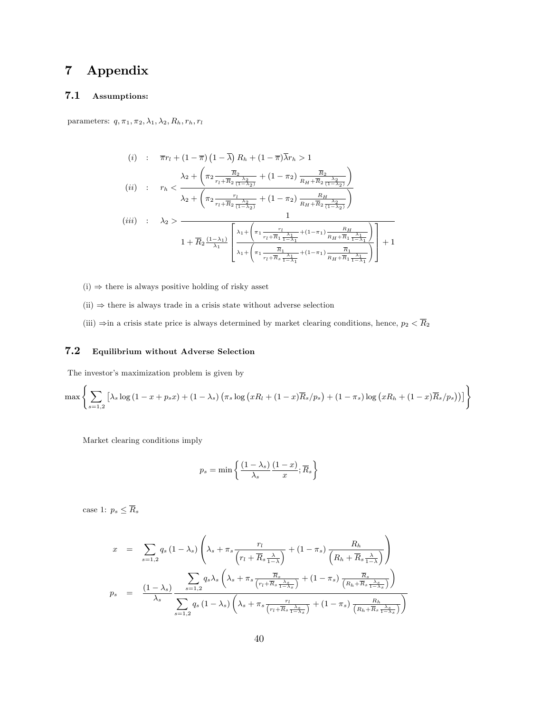# 7 Appendix

# 7.1 Assumptions:

parameters:  $q, \pi_1, \pi_2, \lambda_1, \lambda_2, R_h, r_h, r_l$ 

$$
(i) : \overline{\pi}r_{l} + (1 - \overline{\pi}) (1 - \overline{\lambda}) R_{h} + (1 - \overline{\pi}) \overline{\lambda}r_{h} > 1
$$
\n
$$
(ii) : r_{h} < \frac{\lambda_{2} + \left(\pi_{2} \frac{\overline{R}_{2}}{r_{l} + \overline{R}_{2} \frac{\lambda_{2}}{(1 - \lambda_{2})}} + (1 - \pi_{2}) \frac{\overline{R}_{2}}{R_{H} + \overline{R}_{2} \frac{\lambda_{2}}{(1 - \lambda_{2})}}\right)}{\lambda_{2} + \left(\pi_{2} \frac{r_{l}}{r_{l} + \overline{R}_{2} \frac{\lambda_{2}}{(1 - \lambda_{2})}} + (1 - \pi_{2}) \frac{R_{H}}{R_{H} + \overline{R}_{2} \frac{\lambda_{2}}{(1 - \lambda_{2})}}\right)}
$$
\n
$$
(iii) : \lambda_{2} > \frac{1}{1 + \overline{R}_{2} \frac{(1 - \lambda_{1})}{\lambda_{1}}} \left[ \frac{\lambda_{1} + \left(\pi_{1} \frac{r_{l}}{r_{l} + \overline{R}_{1} \frac{\lambda_{1}}{1 - \lambda_{1}}} + (1 - \pi_{1}) \frac{R_{H}}{R_{H} + \overline{R}_{1} \frac{\lambda_{1}}{1 - \lambda_{1}}}}{\lambda_{1} + \left(\pi_{1} \frac{\overline{R}_{1}}{r_{l} + \overline{R}_{1} \frac{\lambda_{1}}{1 - \lambda_{1}}} + (1 - \pi_{1}) \frac{\overline{R}_{1}}{R_{H} + \overline{R}_{1} \frac{\lambda_{1}}{1 - \lambda_{1}}}}\right)}\right] + 1
$$

- $(i) \Rightarrow$  there is always positive holding of risky asset
- $(ii) \Rightarrow$  there is always trade in a crisis state without adverse selection
- (iii)  $\Rightarrow$  in a crisis state price is always determined by market clearing conditions, hence,  $p_2 < \overline{R}_2$

# 7.2 Equilibrium without Adverse Selection

The investor's maximization problem is given by

$$
\max \left\{ \sum_{s=1,2} \left[ \lambda_s \log \left(1 - x + p_s x \right) + \left(1 - \lambda_s\right) \left( \pi_s \log \left( x R_l + (1 - x) \overline{R}_s / p_s \right) + (1 - \pi_s) \log \left( x R_h + (1 - x) \overline{R}_s / p_s \right) \right) \right] \right\}
$$

Market clearing conditions imply

$$
p_s = \min\left\{\frac{(1-\lambda_s)}{\lambda_s} \frac{(1-x)}{x}; \overline{R}_s\right\}
$$

case 1:  $p_s \leq \overline{R}_s$ 

$$
x = \sum_{s=1,2} q_s (1 - \lambda_s) \left( \lambda_s + \pi_s \frac{r_l}{\left( r_l + \overline{R}_s \frac{\lambda}{1 - \lambda} \right)} + (1 - \pi_s) \frac{R_h}{\left( R_h + \overline{R}_s \frac{\lambda}{1 - \lambda} \right)} \right)
$$
  

$$
p_s = \frac{(1 - \lambda_s)}{\lambda_s} \frac{\sum_{s=1,2} q_s \lambda_s \left( \lambda_s + \pi_s \frac{\overline{R}_s}{\left( r_l + \overline{R}_s \frac{\lambda_s}{1 - \lambda_s} \right)} + (1 - \pi_s) \frac{\overline{R}_s}{\left( R_h + \overline{R}_s \frac{\lambda_s}{1 - \lambda_s} \right)} \right)}{\sum_{s=1,2} q_s (1 - \lambda_s) \left( \lambda_s + \pi_s \frac{r_l}{\left( r_l + \overline{R}_s \frac{\lambda_s}{1 - \lambda_s} \right)} + (1 - \pi_s) \frac{R_h}{\left( R_h + \overline{R}_s \frac{\lambda_s}{1 - \lambda_s} \right)} \right)}
$$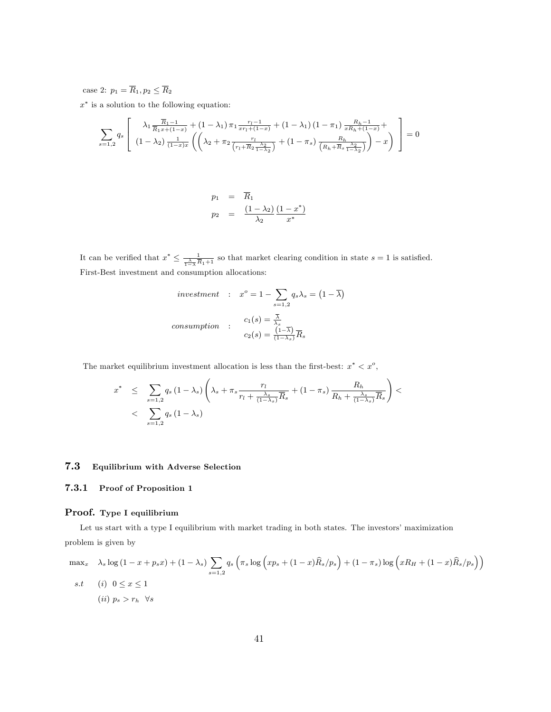case 2:  $p_1 = \overline{R}_1, p_2 \leq \overline{R}_2$ 

 $x^*$  is a solution to the following equation:

$$
\sum_{s=1,2} q_s \left[ \begin{array}{c} \lambda_1 \frac{\overline{R}_1 - 1}{\overline{R}_1 x + (1 - x)} + (1 - \lambda_1) \pi_1 \frac{r_l - 1}{x r_l + (1 - x)} + (1 - \lambda_1) (1 - \pi_1) \frac{R_h - 1}{x R_h + (1 - x)} + \\ (1 - \lambda_2) \frac{1}{(1 - x)x} \left( \lambda_2 + \pi_2 \frac{r_l}{\left(r_l + \overline{R}_2 \frac{\lambda_2}{1 - \lambda_2}\right)} + (1 - \pi_s) \frac{R_h}{\left(R_h + \overline{R}_s \frac{\lambda_2}{1 - \lambda_2}\right)} \right) - x \end{array} \right] = 0
$$

$$
p_1 = \overline{R}_1
$$
  

$$
p_2 = \frac{(1-\lambda_2)}{\lambda_2} \frac{(1-x^*)}{x^*}
$$

It can be verified that  $x^* \leq \frac{1}{\frac{\lambda}{1-\lambda}\overline{R}_1+1}$  so that market clearing condition in state  $s = 1$  is satisfied. First-Best investment and consumption allocations:

$$
investment : x^o = 1 - \sum_{s=1,2} q_s \lambda_s = (1 - \overline{\lambda})
$$
  
consumption : 
$$
c_1(s) = \frac{\overline{\lambda}}{\lambda_s}
$$

$$
c_2(s) = \frac{(1 - \overline{\lambda})}{(1 - \lambda_s)} \overline{R}_s
$$

The market equilibrium investment allocation is less than the first-best:  $x^* < x^o$ ,

$$
x^* \leq \sum_{s=1,2} q_s (1 - \lambda_s) \left( \lambda_s + \pi_s \frac{r_l}{r_l + \frac{\lambda_s}{(1 - \lambda_s)} \overline{R}_s} + (1 - \pi_s) \frac{R_h}{R_h + \frac{\lambda_s}{(1 - \lambda_s)} \overline{R}_s} \right) < \sum_{s=1,2} q_s (1 - \lambda_s)
$$

## 7.3 Equilibrium with Adverse Selection

## 7.3.1 Proof of Proposition 1

#### Proof. Type I equilibrium

Let us start with a type I equilibrium with market trading in both states. The investors' maximization problem is given by

$$
\max_{x} \quad \lambda_s \log (1 - x + p_s x) + (1 - \lambda_s) \sum_{s=1,2} q_s \left( \pi_s \log \left( x p_s + (1 - x) \widehat{R}_s / p_s \right) + (1 - \pi_s) \log \left( x R_H + (1 - x) \widehat{R}_s / p_s \right) \right)
$$
  
s.t (i)  $0 \le x \le 1$   
(ii)  $p_s > r_h \quad \forall s$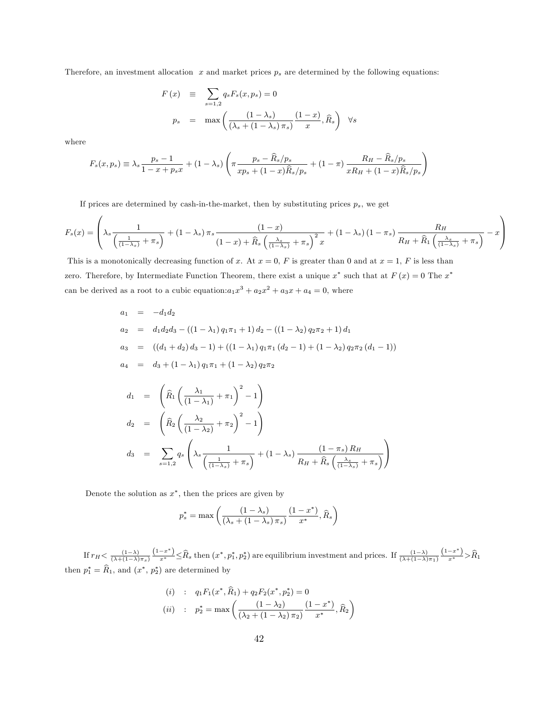Therefore, an investment allocation  $x$  and market prices  $p_s$  are determined by the following equations:

$$
F(x) \equiv \sum_{s=1,2} q_s F_s(x, p_s) = 0
$$
  

$$
p_s = \max \left( \frac{(1 - \lambda_s)}{(\lambda_s + (1 - \lambda_s)\pi_s)} \frac{(1 - x)}{x}, \widehat{R}_s \right) \forall s
$$

where

 $\overline{a}$ 

$$
F_s(x, p_s) \equiv \lambda_s \frac{p_s - 1}{1 - x + p_s x} + (1 - \lambda_s) \left( \pi \frac{p_s - \widehat{R}_s / p_s}{xp_s + (1 - x)\widehat{R}_s / p_s} + (1 - \pi) \frac{R_H - \widehat{R}_s / p_s}{xR_H + (1 - x)\widehat{R}_s / p_s} \right)
$$

If prices are determined by cash-in-the-market, then by substituting prices  $p_s$ , we get

$$
F_s(x) = \left(\lambda_s \frac{1}{\left(\frac{1}{(1-\lambda_s)} + \pi_s\right)} + (1-\lambda_s)\pi_s \frac{(1-x)}{(1-x) + \widehat{R}_s \left(\frac{\lambda_s}{(1-\lambda_s)} + \pi_s\right)^2 x} + (1-\lambda_s)\left(1-\pi_s\right) \frac{R_H}{R_H + \widehat{R}_1 \left(\frac{\lambda_s}{(1-\lambda_s)} + \pi_s\right)} - x\right)
$$

 $\sqrt{2}$ 

This is a monotonically decreasing function of x. At  $x = 0$ , F is greater than 0 and at  $x = 1$ , F is less than zero. Therefore, by Intermediate Function Theorem, there exist a unique  $x^*$  such that at  $F(x) = 0$  The  $x^*$ can be derived as a root to a cubic equation: $a_1x^3 + a_2x^2 + a_3x + a_4 = 0$ , where

$$
a_1 = -d_1 d_2
$$
  
\n
$$
a_2 = d_1 d_2 d_3 - ((1 - \lambda_1) q_1 \pi_1 + 1) d_2 - ((1 - \lambda_2) q_2 \pi_2 + 1) d_1
$$
  
\n
$$
a_3 = ((d_1 + d_2) d_3 - 1) + ((1 - \lambda_1) q_1 \pi_1 (d_2 - 1) + (1 - \lambda_2) q_2 \pi_2 (d_1 - 1))
$$
  
\n
$$
a_4 = d_3 + (1 - \lambda_1) q_1 \pi_1 + (1 - \lambda_2) q_2 \pi_2
$$
  
\n
$$
d_1 = \left(\widehat{R}_1 \left(\frac{\lambda_1}{(1 - \lambda_1)} + \pi_1\right)^2 - 1\right)
$$
  
\n
$$
d_2 = \left(\widehat{R}_2 \left(\frac{\lambda_2}{(1 - \lambda_2)} + \pi_2\right)^2 - 1\right)
$$
  
\n
$$
d_3 = \sum_{s=1,2} q_s \left(\lambda_s \frac{1}{\left(\frac{1}{(1 - \lambda_s)} + \pi_s\right)} + (1 - \lambda_s) \frac{(1 - \pi_s) R_H}{R_H + \widehat{R}_s \left(\frac{\lambda_s}{(1 - \lambda_s)} + \pi_s\right)}\right)
$$

Denote the solution as  $x^*$ , then the prices are given by

$$
p_s^* = \max\left(\frac{\left(1 - \lambda_s\right)}{\left(\lambda_s + \left(1 - \lambda_s\right)\pi_s\right)} \frac{\left(1 - x^*\right)}{x^*}, \widehat{R}_s\right)
$$

If  $r_H < \frac{(1-\lambda)}{(\lambda+(1-\lambda)\pi_s)}$  $\frac{(1-x^*)}{x^*} \leq \widehat{R}_s$  then  $(x^*, p_1^*, p_2^*)$  are equilibrium investment and prices. If  $\frac{(1-\lambda)}{(\lambda+(1-\lambda)\pi_1)}$  $\frac{(1-x^*)}{x^*} > \hat{R}_1$ then  $p_1^* = R_1$ , and  $(x^*, p_2^*)$  are determined by

(i) : 
$$
q_1 F_1(x^*, \hat{R}_1) + q_2 F_2(x^*, p_2^*) = 0
$$
  
\n(ii) :  $p_2^* = \max \left( \frac{(1 - \lambda_2)}{(\lambda_2 + (1 - \lambda_2) \pi_2)} \frac{(1 - x^*)}{x^*}, \hat{R}_2 \right)$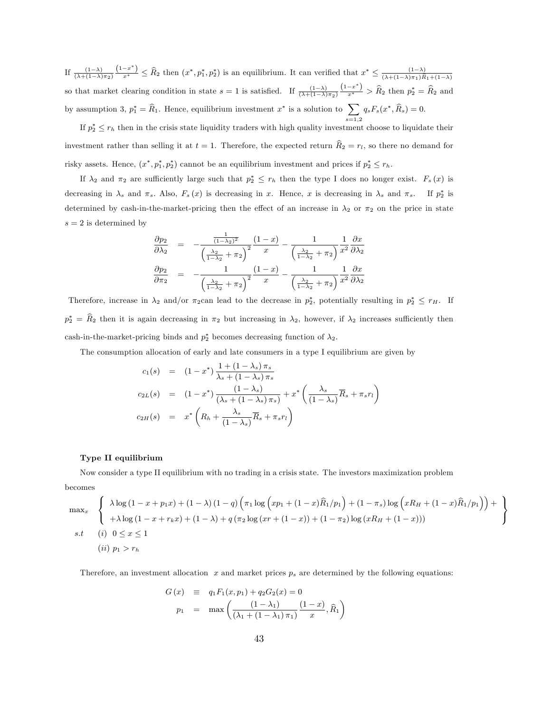If  $\frac{(1-\lambda)}{(\lambda+(1-\lambda)\pi_2)}$  $\frac{(1-x^*)}{x^*} \leq \widehat{R}_2$  then  $(x^*, p_1^*, p_2^*)$  is an equilibrium. It can verified that  $x^* \leq \frac{(1-\lambda)}{(\lambda + (1-\lambda)\pi_1)\widehat{R}}$  $(\lambda+(1-\lambda)\pi_1)R_1+(1-\lambda)$ so that market clearing condition in state  $s = 1$  is satisfied. If  $\frac{(1-\lambda)}{(\lambda + (1-\lambda)\pi_2)}$  $\frac{(1-x^*)}{x^*}$  >  $\widehat{R}_2$  then  $p_2^* = \widehat{R}_2$  and by assumption 3,  $p_1^* = \hat{R}_1$ . Hence, equilibrium investment  $x^*$  is a solution to  $\sum$  $_{s=1,2}$  $q_s F_s(x^*, R_s) = 0.$ 

If  $p_2^* \leq r_h$  then in the crisis state liquidity traders with high quality investment choose to liquidate their investment rather than selling it at  $t = 1$ . Therefore, the expected return  $\widehat{R}_2 = r_l$ , so there no demand for risky assets. Hence,  $(x^*, p_1^*, p_2^*)$  cannot be an equilibrium investment and prices if  $p_2^* \leq r_h$ .

If  $\lambda_2$  and  $\pi_2$  are sufficiently large such that  $p_2^* \leq r_h$  then the type I does no longer exist.  $F_s(x)$  is decreasing in  $\lambda_s$  and  $\pi_s$ . Also,  $F_s(x)$  is decreasing in x. Hence, x is decreasing in  $\lambda_s$  and  $\pi_s$ . If  $p_2^*$  is determined by cash-in-the-market-pricing then the effect of an increase in  $\lambda_2$  or  $\pi_2$  on the price in state  $s = 2$  is determined by

$$
\frac{\partial p_2}{\partial \lambda_2} = -\frac{\frac{1}{(1-\lambda_2)^2}}{\left(\frac{\lambda_2}{1-\lambda_2} + \pi_2\right)^2} \frac{(1-x)}{x} - \frac{1}{\left(\frac{\lambda_2}{1-\lambda_2} + \pi_2\right)} \frac{\partial x}{x^2} \frac{\partial x}{\partial \lambda_2}
$$

$$
\frac{\partial p_2}{\partial \pi_2} = -\frac{1}{\left(\frac{\lambda_2}{1-\lambda_2} + \pi_2\right)^2} \frac{(1-x)}{x} - \frac{1}{\left(\frac{\lambda_2}{1-\lambda_2} + \pi_2\right)} \frac{1}{x^2} \frac{\partial x}{\partial \lambda_2}
$$

Therefore, increase in  $\lambda_2$  and/or  $\pi_2$ can lead to the decrease in  $p_2^*$ , potentially resulting in  $p_2^* \leq r_H$ . If  $p_2^* = R_2$  then it is again decreasing in  $\pi_2$  but increasing in  $\lambda_2$ , however, if  $\lambda_2$  increases sufficiently then cash-in-the-market-pricing binds and  $p_2^*$  becomes decreasing function of  $\lambda_2$ .

The consumption allocation of early and late consumers in a type I equilibrium are given by

$$
c_1(s) = (1 - x^*) \frac{1 + (1 - \lambda_s) \pi_s}{\lambda_s + (1 - \lambda_s) \pi_s}
$$
  
\n
$$
c_{2L}(s) = (1 - x^*) \frac{(1 - \lambda_s)}{(\lambda_s + (1 - \lambda_s) \pi_s)} + x^* \left(\frac{\lambda_s}{(1 - \lambda_s)} \overline{R}_s + \pi_s r_l\right)
$$
  
\n
$$
c_{2H}(s) = x^* \left(R_h + \frac{\lambda_s}{(1 - \lambda_s)} \overline{R}_s + \pi_s r_l\right)
$$

#### Type II equilibrium

Now consider a type II equilibrium with no trading in a crisis state. The investors maximization problem becomes

$$
\max_{x} \left\{ \begin{array}{l} \lambda \log \left(1 - x + p_1 x \right) + (1 - \lambda) \left(1 - q\right) \left(\pi_1 \log \left(x p_1 + (1 - x) \widehat{R}_1 / p_1\right) + (1 - \pi_s) \log \left(x R_H + (1 - x) \widehat{R}_1 / p_1\right)\right) + \\ + \lambda \log \left(1 - x + r_k x\right) + (1 - \lambda) + q \left(\pi_2 \log \left(x r + (1 - x)\right) + (1 - \pi_2) \log \left(x R_H + (1 - x)\right)\right) \end{array} \right\}
$$
  
s.t (i)  $0 \le x \le 1$   
(ii)  $p_1 > r_h$ 

Therefore, an investment allocation  $x$  and market prices  $p_s$  are determined by the following equations:

$$
G(x) \equiv q_1 F_1(x, p_1) + q_2 G_2(x) = 0
$$
  

$$
p_1 = \max \left( \frac{(1 - \lambda_1)}{(\lambda_1 + (1 - \lambda_1) \pi_1)} \frac{(1 - x)}{x}, \hat{R}_1 \right)
$$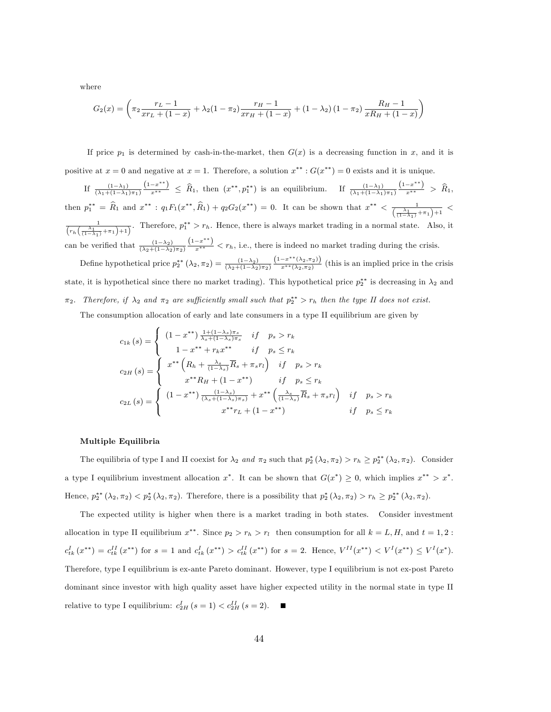where

$$
G_2(x) = \left(\pi_2 \frac{r_L - 1}{xr_L + (1 - x)} + \lambda_2 (1 - \pi_2) \frac{r_H - 1}{xr_H + (1 - x)} + (1 - \lambda_2) (1 - \pi_2) \frac{R_H - 1}{xR_H + (1 - x)}\right)
$$

If price  $p_1$  is determined by cash-in-the-market, then  $G(x)$  is a decreasing function in x, and it is positive at  $x = 0$  and negative at  $x = 1$ . Therefore, a solution  $x^{**}$ :  $G(x^{**}) = 0$  exists and it is unique.

If  $\frac{(1-\lambda_1)}{(\lambda_1+(1-\lambda_1)\pi_1)}$  $\frac{(1-x^{**})}{x^{**}} \leq \hat{R}_1$ , then  $(x^{**}, p_1^{**})$  is an equilibrium. If  $\frac{(1-\lambda_1)}{(\lambda_1+(1-\lambda_1)\pi_1)}$  $\frac{(1-x^{**})}{x^{**}} > \hat{R}_1,$ then  $p_1^{**} = \hat{R}_1$  and  $x^{**}$ :  $q_1 F_1(x^{**}, \hat{R}_1) + q_2 G_2(x^{**}) = 0$ . It can be shown that  $x^{**} < \frac{1}{(\frac{\lambda_1}{(1-\lambda_1)} + \pi_1)+1}$  $\frac{1}{(r_h(\frac{\lambda_1}{(1-\lambda_1)}+\pi_1)+1)}$ . Therefore,  $p_1^{**} > r_h$ . Hence, there is always market trading in a normal state. Also, it can be verified that  $\frac{(1-\lambda_2)}{(\lambda_2+(1-\lambda_2)\pi_2)}$  $\frac{(1-x^{**})}{x^{**}} < r_h$ , i.e., there is indeed no market trading during the crisis. Define hypothetical price  $p_2^{**}(\lambda_2, \pi_2) = \frac{(1-\lambda_2)}{(\lambda_2+(1-\lambda_2)\pi_2)}$  $(1-x^{**}(\lambda_2,\pi_2))$  $\frac{x^{(2,2,2)}}{x^{**}(\lambda_2,\pi_2)}$  (this is an implied price in the crisis

state, it is hypothetical since there no market trading). This hypothetical price  $p_2^{**}$  is decreasing in  $\lambda_2$  and  $\pi_2$ . Therefore, if  $\lambda_2$  and  $\pi_2$  are sufficiently small such that  $p_2^{**} > r_h$  then the type II does not exist.

The consumption allocation of early and late consumers in a type II equilibrium are given by

$$
c_{1k}(s) = \begin{cases} (1 - x^{**}) \frac{1 + (1 - \lambda_s)\pi_s}{\lambda_s + (1 - \lambda_s)\pi_s} & \text{if } p_s > r_k \\ 1 - x^{**} + r_k x^{**} & \text{if } p_s \le r_k \\ x^{**} \left( R_h + \frac{\lambda_s}{(1 - \lambda_s)} \overline{R}_s + \pi_s r_l \right) & \text{if } p_s > r_k \\ x^{**} R_H + (1 - x^{**}) & \text{if } p_s \le r_k \\ c_{2L}(s) = \begin{cases} (1 - x^{**}) \frac{(1 - \lambda_s)}{(\lambda_s + (1 - \lambda_s)\pi_s)} + x^{**} \left( \frac{\lambda_s}{(1 - \lambda_s)} \overline{R}_s + \pi_s r_l \right) & \text{if } p_s > r_k \\ x^{**} r_L + (1 - x^{**}) & \text{if } p_s \le r_k \end{cases} \end{cases}
$$

#### Multiple Equilibria

The equilibria of type I and II coexist for  $\lambda_2$  and  $\pi_2$  such that  $p_2^*(\lambda_2, \pi_2) > r_h \ge p_2^{**}(\lambda_2, \pi_2)$ . Consider a type I equilibrium investment allocation  $x^*$ . It can be shown that  $G(x^*) \geq 0$ , which implies  $x^{**} > x^*$ . Hence,  $p_2^{**}(\lambda_2, \pi_2) < p_2^{*}(\lambda_2, \pi_2)$ . Therefore, there is a possibility that  $p_2^{*}(\lambda_2, \pi_2) > r_h \ge p_2^{**}(\lambda_2, \pi_2)$ .

The expected utility is higher when there is a market trading in both states. Consider investment allocation in type II equilibrium  $x^{**}$ . Since  $p_2 > r_h > r_l$  then consumption for all  $k = L, H$ , and  $t = 1, 2$ :  $c_{tk}^{I}(x^{**}) = c_{tk}^{II}(x^{**})$  for  $s = 1$  and  $c_{tk}^{I}(x^{**}) > c_{tk}^{II}(x^{**})$  for  $s = 2$ . Hence,  $V^{II}(x^{**}) < V^{I}(x^{**}) \leq V^{I}(x^{*})$ . Therefore, type I equilibrium is ex-ante Pareto dominant. However, type I equilibrium is not ex-post Pareto dominant since investor with high quality asset have higher expected utility in the normal state in type II relative to type I equilibrium:  $c_{2H}^I(s=1) < c_{2H}^{II}(s=2)$ .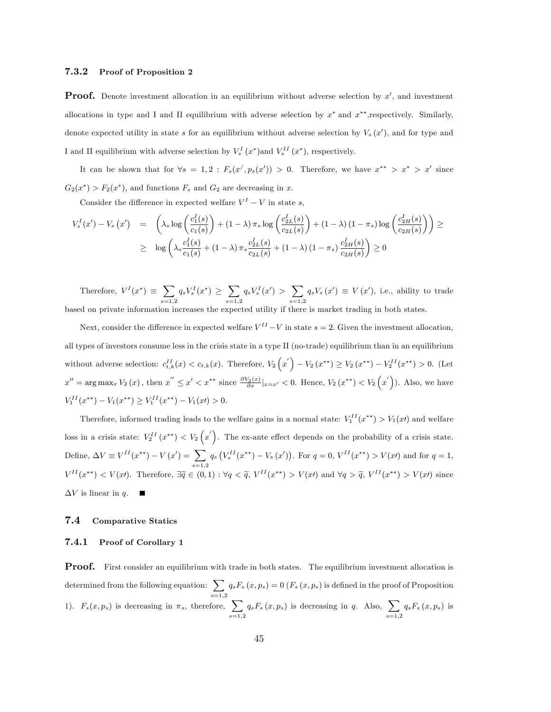#### 7.3.2 Proof of Proposition 2

**Proof.** Denote investment allocation in an equilibrium without adverse selection by  $x'$ , and investment allocations in type and I and II equilibrium with adverse selection by  $x^*$  and  $x^{**}$ , respectively. Similarly, denote expected utility in state s for an equilibrium without adverse selection by  $V_s(x')$ , and for type and I and II equilibrium with adverse selection by  $V_s^I(x^*)$  and  $V_s^{II}(x^*)$ , respectively.

It can be shown that for  $\forall s = 1, 2 : F_s(x', p_s(x')) > 0$ . Therefore, we have  $x^{**} > x^* > x'$  since  $G_2(x^*)$  >  $F_2(x^*)$ , and functions  $F_s$  and  $G_2$  are decreasing in x.

Consider the difference in expected welfare  $V^I - V$  in state s,

$$
V_s^I(x') - V_s(x') = \left(\lambda_s \log\left(\frac{c_1^I(s)}{c_1(s)}\right) + (1-\lambda)\pi_s \log\left(\frac{c_{2L}^I(s)}{c_{2L}(s)}\right) + (1-\lambda)(1-\pi_s) \log\left(\frac{c_{2H}^I(s)}{c_{2H}(s)}\right)\right) \ge
$$
  
 
$$
\geq \log\left(\lambda_s \frac{c_1^I(s)}{c_1(s)} + (1-\lambda)\pi_s \frac{c_{2L}^I(s)}{c_{2L}(s)} + (1-\lambda)(1-\pi_s) \frac{c_{2H}^I(s)}{c_{2H}(s)}\right) \geq 0
$$

Therefore,  $V^I(x^*) \equiv \sum$  $_{s=1,2}$  $q_s V^I_s(x^*) \geq \sum$  $_{s=1,2}$  $q_s V_s^I(x') > \sum$  $_{s=1,2}$  $q_s V_s(x') \equiv V(x')$ , i.e., ability to trade based on private information increases the expected utility if there is market trading in both states.

Next, consider the difference in expected welfare  $V^{II} - V$  in state  $s = 2$ . Given the investment allocation, all types of investors consume less in the crisis state in a type II (no-trade) equilibrium than in an equilibrium without adverse selection:  $c_{t,k}^{II}(x) < c_{t,k}(x)$ . Therefore,  $V_2(x') - V_2(x^{**}) \ge V_2(x^{**}) - V_2^{II}(x^{**}) > 0$ . (Let  $x'' = \arg \max_x V_2(x)$ , then  $x'' \le x' < x^{**}$  since  $\frac{\partial V_2(x)}{\partial x}|_{x=x'} < 0$ . Hence,  $V_2(x^{**}) < V_2(x')$ ). Also, we have  $V_1^{II}(x^{**}) - V_1(x^{**}) \geq V_1^{II}(x^{**}) - V_1(x) > 0.$ 

Therefore, informed trading leads to the welfare gains in a normal state:  $V_1^{II}(x^{**}) > V_1(x)$  and welfare loss in a crisis state:  $V_2^{II}(x^{**}) < V_2(x')$ . The ex-ante effect depends on the probability of a crisis state. Define,  $\Delta V \equiv V^{II}(x^{**}) - V(x') = \sum$  $_{s=1,2}$  $q_s\left(V_s^{II}(x^{**})-V_s(x')\right)$ . For  $q=0, V^{II}(x^{**})>V(x')$  and for  $q=1$ ,  $V^{II}(x^{**}) < V(x)$ . Therefore,  $\exists \widetilde{q} \in (0,1) : \forall q < \widetilde{q}, V^{II}(x^{**}) > V(x)$  and  $\forall q > \widetilde{q}, V^{II}(x^{**}) > V(x)$  since  $\Delta V$  is linear in  $q.$ 

### 7.4 Comparative Statics

#### 7.4.1 Proof of Corollary 1

**Proof.** First consider an equilibrium with trade in both states. The equilibrium investment allocation is determined from the following equation:  $\sum$  $_{s=1,2}$  $q_sF_s(x, p_s) = 0$   $(F_s(x, p_s)$  is defined in the proof of Proposition 1).  $F_s(x, p_s)$  is decreasing in  $\pi_s$ , therefore,  $\sum$  $_{s=1,2}$  $q_sF_s(x, p_s)$  is decreasing in q. Also,  $\sum$  $_{s=1,2}$  $q_sF_s(x,p_s)$  is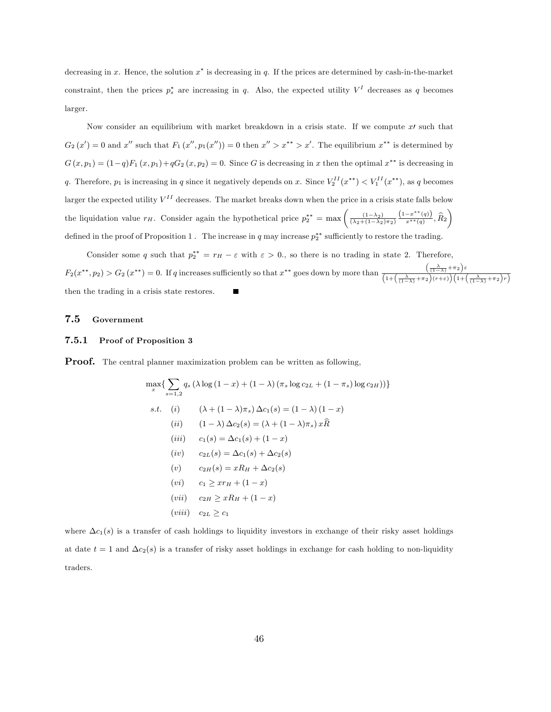decreasing in x. Hence, the solution  $x^*$  is decreasing in q. If the prices are determined by cash-in-the-market constraint, then the prices  $p_s^*$  are increasing in q. Also, the expected utility  $V^I$  decreases as q becomes larger.

Now consider an equilibrium with market breakdown in a crisis state. If we compute  $x<sup>j</sup>$  such that  $G_2(x') = 0$  and x'' such that  $F_1(x'', p_1(x'')) = 0$  then  $x'' > x^{**} > x'$ . The equilibrium  $x^{**}$  is determined by  $G(x, p_1) = (1-q)F_1(x, p_1) + qG_2(x, p_2) = 0$ . Since G is decreasing in x then the optimal  $x^{**}$  is decreasing in q. Therefore,  $p_1$  is increasing in q since it negatively depends on x. Since  $V_2^{II}(x^{**}) < V_1^{II}(x^{**})$ , as q becomes larger the expected utility  $V^{II}$  decreases. The market breaks down when the price in a crisis state falls below the liquidation value  $r_H$ . Consider again the hypothetical price  $p_2^{**} = \max\left(\frac{(1-\lambda_2)}{(\lambda_2+(1-\lambda_2)\pi_2)}\right)$  $\frac{(1-x^{**}(q))}{x^{**}(q)}, \hat{R}_2$ defined in the proof of Proposition 1. The increase in q may increase  $p_2^{**}$  sufficiently to restore the trading.

Consider some q such that  $p_2^{**} = r_H - \varepsilon$  with  $\varepsilon > 0$ ., so there is no trading in state 2. Therefore,  $F_2(x^{**}, p_2) > G_2(x^{**}) = 0$ . If q increases sufficiently so that  $x^{**}$  goes down by more than  $\frac{\left(\frac{\lambda}{(1-\lambda)} + \pi_2\right)\varepsilon}{\sqrt{\frac{(\lambda^2 + \lambda^2 + \pi_2^2)}{\lambda^2 + \lambda^2}}}$  $\overline{\left(1+\left(\tfrac{\lambda}{(1-\lambda)}+\pi_2\right)(r+\varepsilon)\right)\left(1+\left(\tfrac{\lambda}{(1-\lambda)}+\pi_2\right)r\right)}$ then the trading in a crisis state restores.

#### 7.5 Government

#### 7.5.1 Proof of Proposition 3

Proof. The central planner maximization problem can be written as following,

$$
\max_{x} \left\{ \sum_{s=1,2} q_s \left( \lambda \log \left( 1 - x \right) + (1 - \lambda) \left( \pi_s \log c_{2L} + (1 - \pi_s) \log c_{2H} \right) \right) \right\}
$$
\n
$$
s.t. \quad (i) \quad (\lambda + (1 - \lambda)\pi_s) \Delta c_1(s) = (1 - \lambda) (1 - x)
$$
\n
$$
(ii) \quad (1 - \lambda) \Delta c_2(s) = (\lambda + (1 - \lambda)\pi_s) x \hat{R}
$$
\n
$$
(iii) \quad c_1(s) = \Delta c_1(s) + (1 - x)
$$
\n
$$
(iv) \quad c_{2L}(s) = \Delta c_1(s) + \Delta c_2(s)
$$
\n
$$
(v) \quad c_{2H}(s) = xR_H + \Delta c_2(s)
$$
\n
$$
(vi) \quad c_1 \geq xr_H + (1 - x)
$$
\n
$$
(vii) \quad c_{2L} \geq c_1
$$

where  $\Delta c_1(s)$  is a transfer of cash holdings to liquidity investors in exchange of their risky asset holdings at date  $t = 1$  and  $\Delta c_2(s)$  is a transfer of risky asset holdings in exchange for cash holding to non-liquidity traders.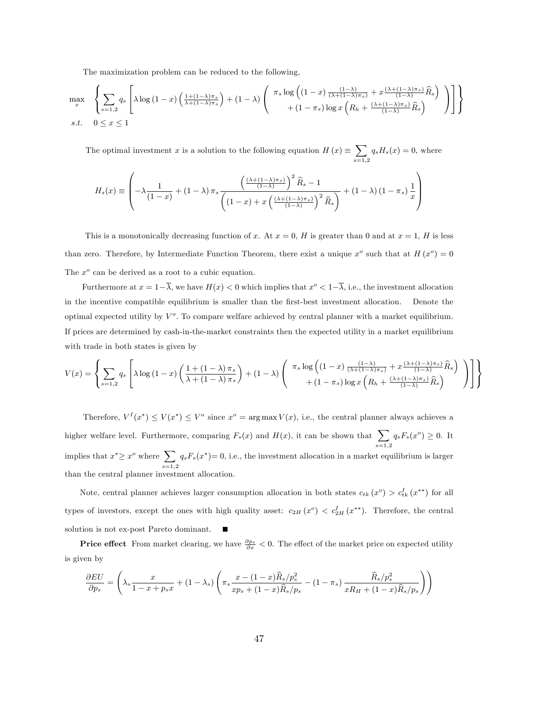The maximization problem can be reduced to the following,

$$
\max_{x} \left\{ \sum_{s=1,2} q_s \left[ \lambda \log \left( 1 - x \right) \left( \frac{1 + (1 - \lambda)\pi_s}{\lambda + (1 - \lambda)\pi_s} \right) + (1 - \lambda) \left( \begin{array}{c} \pi_s \log \left( (1 - x) \frac{(1 - \lambda)}{(\lambda + (1 - \lambda)\pi_s)} + x \frac{(\lambda + (1 - \lambda)\pi_s)}{(1 - \lambda)} \widehat{R}_s \right) \\ + (1 - \pi_s) \log x \left( R_h + \frac{(\lambda + (1 - \lambda)\pi_s)}{(1 - \lambda)} \widehat{R}_s \right) \end{array} \right) \right] \right\}
$$
\n
$$
s.t. \quad 0 \le x \le 1
$$

The optimal investment x is a solution to the following equation  $H(x) \equiv \sum$  $_{s=1,2}$  $q_sH_s(x) = 0$ , where

$$
H_s(x) \equiv \left(-\lambda \frac{1}{(1-x)} + (1-\lambda)\pi_s \frac{\left(\frac{(\lambda + (1-\lambda)\pi_s)}{(1-\lambda)}\right)^2 \widehat{R}_s - 1}{\left(\left(1-x\right) + x \left(\frac{(\lambda + (1-\lambda)\pi_s)}{(1-\lambda)}\right)^2 \widehat{R}_s\right)} + (1-\lambda)(1-\pi_s) \frac{1}{x}\right)
$$

This is a monotonically decreasing function of x. At  $x = 0$ , H is greater than 0 and at  $x = 1$ , H is less than zero. Therefore, by Intermediate Function Theorem, there exist a unique  $x^{\circ}$  such that at  $H(x^{\circ}) = 0$ The  $x^o$  can be derived as a root to a cubic equation.

Furthermore at  $x = 1 - \overline{\lambda}$ , we have  $H(x) < 0$  which implies that  $x^{\circ} < 1 - \overline{\lambda}$ , i.e., the investment allocation in the incentive compatible equilibrium is smaller than the first-best investment allocation. Denote the optimal expected utility by  $V^o$ . To compare welfare achieved by central planner with a market equilibrium. If prices are determined by cash-in-the-market constraints then the expected utility in a market equilibrium with trade in both states is given by

$$
V(x) = \left\{ \sum_{s=1,2} q_s \left[ \lambda \log \left( 1 - x \right) \left( \frac{1 + (1 - \lambda) \pi_s}{\lambda + (1 - \lambda) \pi_s} \right) + (1 - \lambda) \left( \begin{array}{c} \pi_s \log \left( (1 - x) \frac{(1 - \lambda)}{(\lambda + (1 - \lambda) \pi_s)} + x \frac{(\lambda + (1 - \lambda) \pi_s)}{(1 - \lambda)} \widehat{R}_s \right) \\ + (1 - \pi_s) \log x \left( R_h + \frac{(\lambda + (1 - \lambda) \pi_s)}{(1 - \lambda)} \widehat{R}_s \right) \end{array} \right) \right] \right\}
$$

Therefore,  $V^I(x^*) \leq V(x^*) \leq V^o$  since  $x^o = \arg \max V(x)$ , i.e., the central planner always achieves a higher welfare level. Furthermore, comparing  $F_s(x)$  and  $H(x)$ , it can be shown that  $\sum$  $_{s=1,2}$  $q_s F_s(x^o) \geq 0$ . It implies that  $x^* \geq x^o$  where  $\sum$  $_{s=1,2}$  $q_sF_s(x^*)=0$ , i.e., the investment allocation in a market equilibrium is larger than the central planner investment allocation.

Note, central planner achieves larger consumption allocation in both states  $c_{tk}(x^{\circ}) > c_{tk}^{I}(x^{**})$  for all types of investors, except the ones with high quality asset:  $c_{2H}(x^{\circ}) < c_{2H}^{I}(x^{**})$ . Therefore, the central solution is not ex-post Pareto dominant.  $\blacksquare$ 

**Price effect** From market clearing, we have  $\frac{\partial p_s}{\partial x} < 0$ . The effect of the market price on expected utility is given by

$$
\frac{\partial EU}{\partial p_s} = \left(\lambda_s \frac{x}{1-x+p_s x} + (1-\lambda_s) \left(\pi_s \frac{x-(1-x)\widehat{R}_s/p_s^2}{xp_s + (1-x)\widehat{R}_s/p_s} - (1-\pi_s) \frac{\widehat{R}_s/p_s^2}{xR_H + (1-x)\widehat{R}_s/p_s}\right)\right)
$$